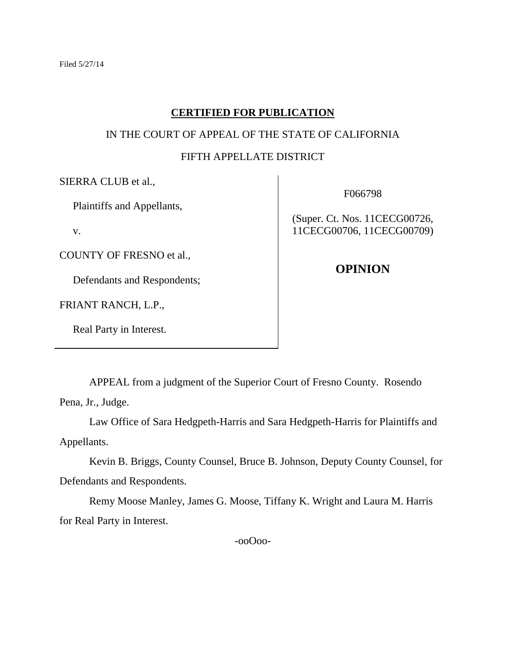# **CERTIFIED FOR PUBLICATION**

# IN THE COURT OF APPEAL OF THE STATE OF CALIFORNIA

# FIFTH APPELLATE DISTRICT

SIERRA CLUB et al.,

Plaintiffs and Appellants,

v.

COUNTY OF FRESNO et al.,

Defendants and Respondents;

FRIANT RANCH, L.P.,

Real Party in Interest.

F066798

(Super. Ct. Nos. 11CECG00726, 11CECG00706, 11CECG00709)

**OPINION**

APPEAL from a judgment of the Superior Court of Fresno County. Rosendo

Pena, Jr., Judge.

Law Office of Sara Hedgpeth-Harris and Sara Hedgpeth-Harris for Plaintiffs and Appellants.

Kevin B. Briggs, County Counsel, Bruce B. Johnson, Deputy County Counsel, for Defendants and Respondents.

Remy Moose Manley, James G. Moose, Tiffany K. Wright and Laura M. Harris for Real Party in Interest.

-ooOoo-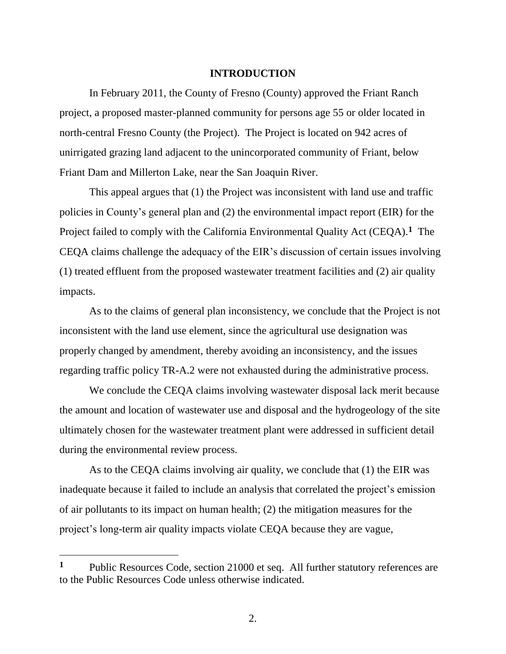# **INTRODUCTION**

In February 2011, the County of Fresno (County) approved the Friant Ranch project, a proposed master-planned community for persons age 55 or older located in north-central Fresno County (the Project). The Project is located on 942 acres of unirrigated grazing land adjacent to the unincorporated community of Friant, below Friant Dam and Millerton Lake, near the San Joaquin River.

This appeal argues that (1) the Project was inconsistent with land use and traffic policies in County's general plan and (2) the environmental impact report (EIR) for the Project failed to comply with the California Environmental Quality Act (CEQA).<sup>1</sup> The CEQA claims challenge the adequacy of the EIR's discussion of certain issues involving (1) treated effluent from the proposed wastewater treatment facilities and (2) air quality impacts.

As to the claims of general plan inconsistency, we conclude that the Project is not inconsistent with the land use element, since the agricultural use designation was properly changed by amendment, thereby avoiding an inconsistency, and the issues regarding traffic policy TR-A.2 were not exhausted during the administrative process.

We conclude the CEQA claims involving wastewater disposal lack merit because the amount and location of wastewater use and disposal and the hydrogeology of the site ultimately chosen for the wastewater treatment plant were addressed in sufficient detail during the environmental review process.

As to the CEQA claims involving air quality, we conclude that (1) the EIR was inadequate because it failed to include an analysis that correlated the project's emission of air pollutants to its impact on human health; (2) the mitigation measures for the project's long-term air quality impacts violate CEQA because they are vague,

**<sup>1</sup>** Public Resources Code, section 21000 et seq. All further statutory references are to the Public Resources Code unless otherwise indicated.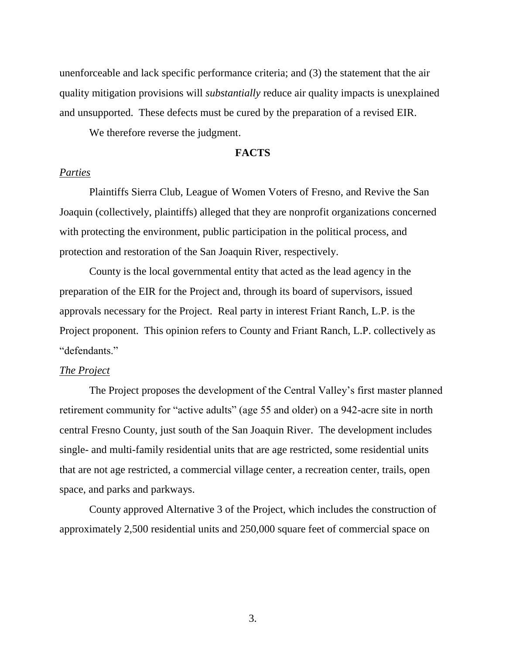unenforceable and lack specific performance criteria; and (3) the statement that the air quality mitigation provisions will *substantially* reduce air quality impacts is unexplained and unsupported. These defects must be cured by the preparation of a revised EIR.

We therefore reverse the judgment.

#### **FACTS**

# *Parties*

Plaintiffs Sierra Club, League of Women Voters of Fresno, and Revive the San Joaquin (collectively, plaintiffs) alleged that they are nonprofit organizations concerned with protecting the environment, public participation in the political process, and protection and restoration of the San Joaquin River, respectively.

County is the local governmental entity that acted as the lead agency in the preparation of the EIR for the Project and, through its board of supervisors, issued approvals necessary for the Project. Real party in interest Friant Ranch, L.P. is the Project proponent. This opinion refers to County and Friant Ranch, L.P. collectively as "defendants."

#### *The Project*

The Project proposes the development of the Central Valley's first master planned retirement community for "active adults" (age 55 and older) on a 942-acre site in north central Fresno County, just south of the San Joaquin River. The development includes single- and multi-family residential units that are age restricted, some residential units that are not age restricted, a commercial village center, a recreation center, trails, open space, and parks and parkways.

County approved Alternative 3 of the Project, which includes the construction of approximately 2,500 residential units and 250,000 square feet of commercial space on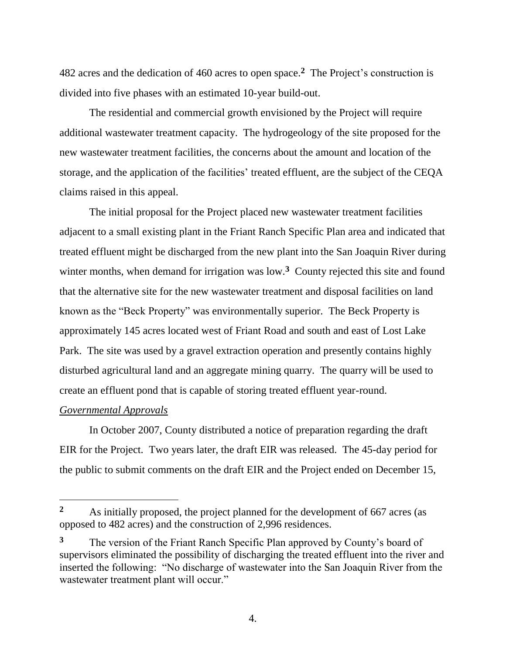482 acres and the dedication of 460 acres to open space. **2** The Project's construction is divided into five phases with an estimated 10-year build-out.

The residential and commercial growth envisioned by the Project will require additional wastewater treatment capacity. The hydrogeology of the site proposed for the new wastewater treatment facilities, the concerns about the amount and location of the storage, and the application of the facilities' treated effluent, are the subject of the CEQA claims raised in this appeal.

The initial proposal for the Project placed new wastewater treatment facilities adjacent to a small existing plant in the Friant Ranch Specific Plan area and indicated that treated effluent might be discharged from the new plant into the San Joaquin River during winter months, when demand for irrigation was low.<sup>3</sup> County rejected this site and found that the alternative site for the new wastewater treatment and disposal facilities on land known as the "Beck Property" was environmentally superior. The Beck Property is approximately 145 acres located west of Friant Road and south and east of Lost Lake Park. The site was used by a gravel extraction operation and presently contains highly disturbed agricultural land and an aggregate mining quarry. The quarry will be used to create an effluent pond that is capable of storing treated effluent year-round.

# *Governmental Approvals*

 $\overline{a}$ 

In October 2007, County distributed a notice of preparation regarding the draft EIR for the Project. Two years later, the draft EIR was released. The 45-day period for the public to submit comments on the draft EIR and the Project ended on December 15,

**<sup>2</sup>** As initially proposed, the project planned for the development of 667 acres (as opposed to 482 acres) and the construction of 2,996 residences.

**<sup>3</sup>** The version of the Friant Ranch Specific Plan approved by County's board of supervisors eliminated the possibility of discharging the treated effluent into the river and inserted the following: "No discharge of wastewater into the San Joaquin River from the wastewater treatment plant will occur."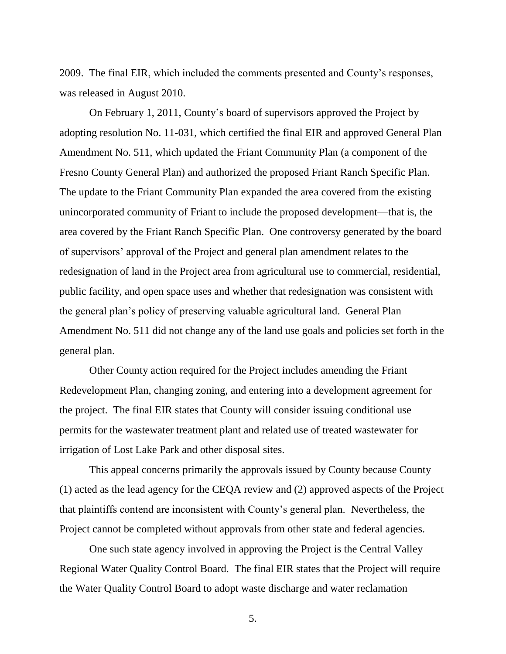2009. The final EIR, which included the comments presented and County's responses, was released in August 2010.

On February 1, 2011, County's board of supervisors approved the Project by adopting resolution No. 11-031, which certified the final EIR and approved General Plan Amendment No. 511, which updated the Friant Community Plan (a component of the Fresno County General Plan) and authorized the proposed Friant Ranch Specific Plan. The update to the Friant Community Plan expanded the area covered from the existing unincorporated community of Friant to include the proposed development—that is, the area covered by the Friant Ranch Specific Plan. One controversy generated by the board of supervisors' approval of the Project and general plan amendment relates to the redesignation of land in the Project area from agricultural use to commercial, residential, public facility, and open space uses and whether that redesignation was consistent with the general plan's policy of preserving valuable agricultural land. General Plan Amendment No. 511 did not change any of the land use goals and policies set forth in the general plan.

Other County action required for the Project includes amending the Friant Redevelopment Plan, changing zoning, and entering into a development agreement for the project. The final EIR states that County will consider issuing conditional use permits for the wastewater treatment plant and related use of treated wastewater for irrigation of Lost Lake Park and other disposal sites.

This appeal concerns primarily the approvals issued by County because County (1) acted as the lead agency for the CEQA review and (2) approved aspects of the Project that plaintiffs contend are inconsistent with County's general plan. Nevertheless, the Project cannot be completed without approvals from other state and federal agencies.

One such state agency involved in approving the Project is the Central Valley Regional Water Quality Control Board. The final EIR states that the Project will require the Water Quality Control Board to adopt waste discharge and water reclamation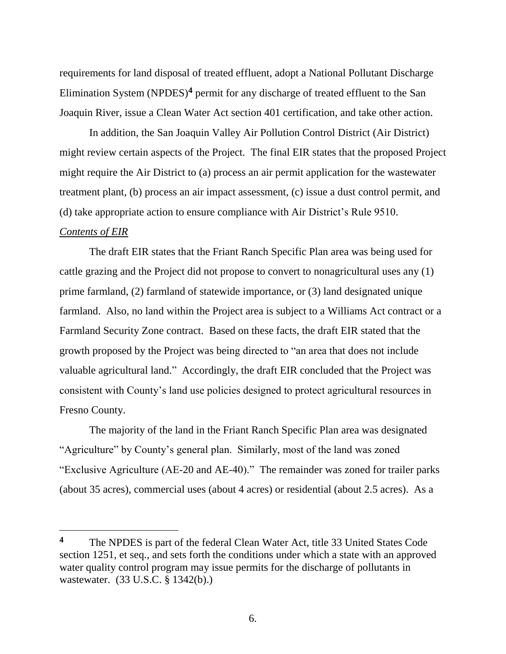requirements for land disposal of treated effluent, adopt a National Pollutant Discharge Elimination System (NPDES)**<sup>4</sup>** permit for any discharge of treated effluent to the San Joaquin River, issue a Clean Water Act section 401 certification, and take other action.

In addition, the San Joaquin Valley Air Pollution Control District (Air District) might review certain aspects of the Project. The final EIR states that the proposed Project might require the Air District to (a) process an air permit application for the wastewater treatment plant, (b) process an air impact assessment, (c) issue a dust control permit, and (d) take appropriate action to ensure compliance with Air District's Rule 9510.

## *Contents of EIR*

 $\overline{a}$ 

The draft EIR states that the Friant Ranch Specific Plan area was being used for cattle grazing and the Project did not propose to convert to nonagricultural uses any (1) prime farmland, (2) farmland of statewide importance, or (3) land designated unique farmland. Also, no land within the Project area is subject to a Williams Act contract or a Farmland Security Zone contract. Based on these facts, the draft EIR stated that the growth proposed by the Project was being directed to "an area that does not include valuable agricultural land." Accordingly, the draft EIR concluded that the Project was consistent with County's land use policies designed to protect agricultural resources in Fresno County.

The majority of the land in the Friant Ranch Specific Plan area was designated "Agriculture" by County's general plan. Similarly, most of the land was zoned "Exclusive Agriculture (AE-20 and AE-40)." The remainder was zoned for trailer parks (about 35 acres), commercial uses (about 4 acres) or residential (about 2.5 acres). As a

**<sup>4</sup>** The NPDES is part of the federal Clean Water Act, title 33 United States Code section 1251, et seq., and sets forth the conditions under which a state with an approved water quality control program may issue permits for the discharge of pollutants in wastewater. (33 U.S.C. § 1342(b).)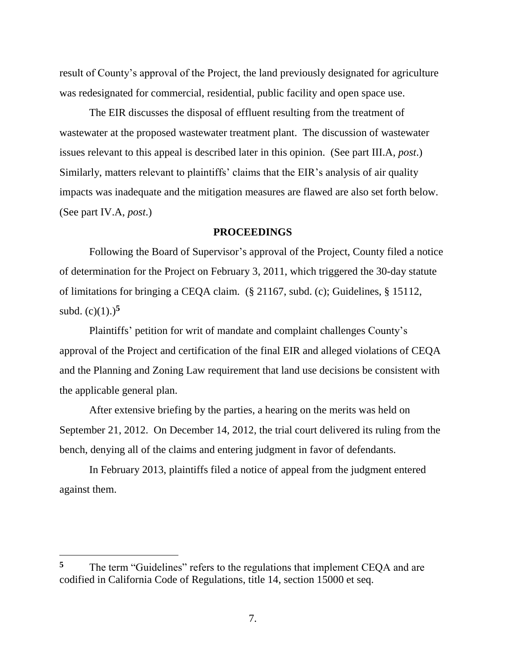result of County's approval of the Project, the land previously designated for agriculture was redesignated for commercial, residential, public facility and open space use.

The EIR discusses the disposal of effluent resulting from the treatment of wastewater at the proposed wastewater treatment plant. The discussion of wastewater issues relevant to this appeal is described later in this opinion. (See part III.A, *post*.) Similarly, matters relevant to plaintiffs' claims that the EIR's analysis of air quality impacts was inadequate and the mitigation measures are flawed are also set forth below. (See part IV.A, *post*.)

#### **PROCEEDINGS**

Following the Board of Supervisor's approval of the Project, County filed a notice of determination for the Project on February 3, 2011, which triggered the 30-day statute of limitations for bringing a CEQA claim. (§ 21167, subd. (c); Guidelines, § 15112, subd.  $(c)(1)$ .)<sup>5</sup>

Plaintiffs' petition for writ of mandate and complaint challenges County's approval of the Project and certification of the final EIR and alleged violations of CEQA and the Planning and Zoning Law requirement that land use decisions be consistent with the applicable general plan.

After extensive briefing by the parties, a hearing on the merits was held on September 21, 2012. On December 14, 2012, the trial court delivered its ruling from the bench, denying all of the claims and entering judgment in favor of defendants.

In February 2013, plaintiffs filed a notice of appeal from the judgment entered against them.

**<sup>5</sup>** The term "Guidelines" refers to the regulations that implement CEQA and are codified in California Code of Regulations, title 14, section 15000 et seq.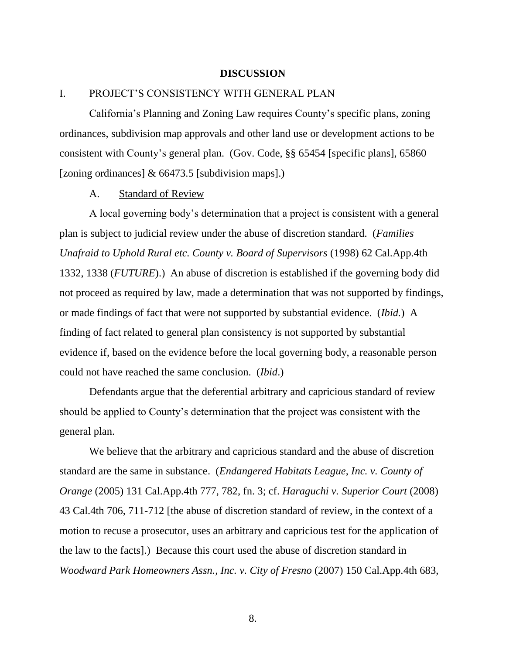#### **DISCUSSION**

# I. PROJECT'S CONSISTENCY WITH GENERAL PLAN

California's Planning and Zoning Law requires County's specific plans, zoning ordinances, subdivision map approvals and other land use or development actions to be consistent with County's general plan. (Gov. Code, §§ 65454 [specific plans], 65860 [zoning ordinances] & 66473.5 [subdivision maps].)

#### A. Standard of Review

A local governing body's determination that a project is consistent with a general plan is subject to judicial review under the abuse of discretion standard. (*Families Unafraid to Uphold Rural etc. County v. Board of Supervisors* (1998) 62 Cal.App.4th 1332, 1338 (*FUTURE*).) An abuse of discretion is established if the governing body did not proceed as required by law, made a determination that was not supported by findings, or made findings of fact that were not supported by substantial evidence. (*Ibid.*) A finding of fact related to general plan consistency is not supported by substantial evidence if, based on the evidence before the local governing body, a reasonable person could not have reached the same conclusion. (*Ibid*.)

Defendants argue that the deferential arbitrary and capricious standard of review should be applied to County's determination that the project was consistent with the general plan.

We believe that the arbitrary and capricious standard and the abuse of discretion standard are the same in substance. (*Endangered Habitats League*, *Inc. v. County of Orange* (2005) 131 Cal.App.4th 777, 782, fn. 3; cf. *Haraguchi v. Superior Court* (2008) 43 Cal.4th 706, 711-712 [the abuse of discretion standard of review, in the context of a motion to recuse a prosecutor, uses an arbitrary and capricious test for the application of the law to the facts].) Because this court used the abuse of discretion standard in *Woodward Park Homeowners Assn., Inc. v. City of Fresno* (2007) 150 Cal.App.4th 683,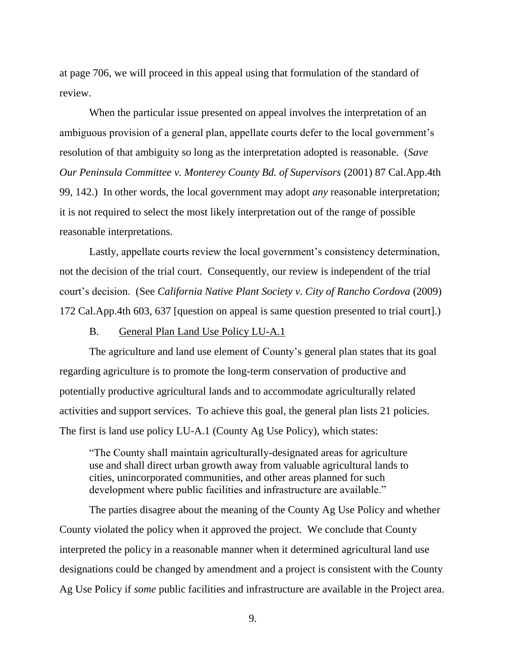at page 706, we will proceed in this appeal using that formulation of the standard of review.

When the particular issue presented on appeal involves the interpretation of an ambiguous provision of a general plan, appellate courts defer to the local government's resolution of that ambiguity so long as the interpretation adopted is reasonable. (*Save Our Peninsula Committee v. Monterey County Bd. of Supervisors* (2001) 87 Cal.App.4th 99, 142.) In other words, the local government may adopt *any* reasonable interpretation; it is not required to select the most likely interpretation out of the range of possible reasonable interpretations.

Lastly, appellate courts review the local government's consistency determination, not the decision of the trial court. Consequently, our review is independent of the trial court's decision. (See *California Native Plant Society v. City of Rancho Cordova* (2009) 172 Cal.App.4th 603, 637 [question on appeal is same question presented to trial court].)

#### B. General Plan Land Use Policy LU-A.1

The agriculture and land use element of County's general plan states that its goal regarding agriculture is to promote the long-term conservation of productive and potentially productive agricultural lands and to accommodate agriculturally related activities and support services. To achieve this goal, the general plan lists 21 policies. The first is land use policy LU-A.1 (County Ag Use Policy), which states:

"The County shall maintain agriculturally-designated areas for agriculture use and shall direct urban growth away from valuable agricultural lands to cities, unincorporated communities, and other areas planned for such development where public facilities and infrastructure are available."

The parties disagree about the meaning of the County Ag Use Policy and whether County violated the policy when it approved the project. We conclude that County interpreted the policy in a reasonable manner when it determined agricultural land use designations could be changed by amendment and a project is consistent with the County Ag Use Policy if *some* public facilities and infrastructure are available in the Project area.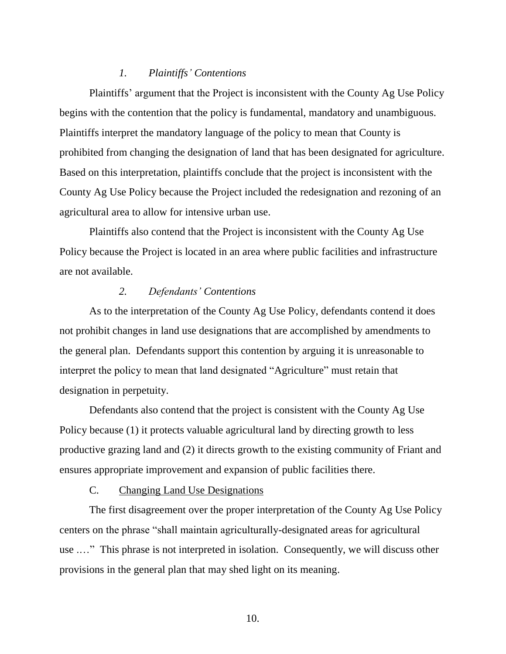## *1. Plaintiffs' Contentions*

Plaintiffs' argument that the Project is inconsistent with the County Ag Use Policy begins with the contention that the policy is fundamental, mandatory and unambiguous. Plaintiffs interpret the mandatory language of the policy to mean that County is prohibited from changing the designation of land that has been designated for agriculture. Based on this interpretation, plaintiffs conclude that the project is inconsistent with the County Ag Use Policy because the Project included the redesignation and rezoning of an agricultural area to allow for intensive urban use.

Plaintiffs also contend that the Project is inconsistent with the County Ag Use Policy because the Project is located in an area where public facilities and infrastructure are not available.

# *2. Defendants' Contentions*

As to the interpretation of the County Ag Use Policy, defendants contend it does not prohibit changes in land use designations that are accomplished by amendments to the general plan. Defendants support this contention by arguing it is unreasonable to interpret the policy to mean that land designated "Agriculture" must retain that designation in perpetuity.

Defendants also contend that the project is consistent with the County Ag Use Policy because (1) it protects valuable agricultural land by directing growth to less productive grazing land and (2) it directs growth to the existing community of Friant and ensures appropriate improvement and expansion of public facilities there.

#### C. Changing Land Use Designations

The first disagreement over the proper interpretation of the County Ag Use Policy centers on the phrase "shall maintain agriculturally-designated areas for agricultural use .…" This phrase is not interpreted in isolation. Consequently, we will discuss other provisions in the general plan that may shed light on its meaning.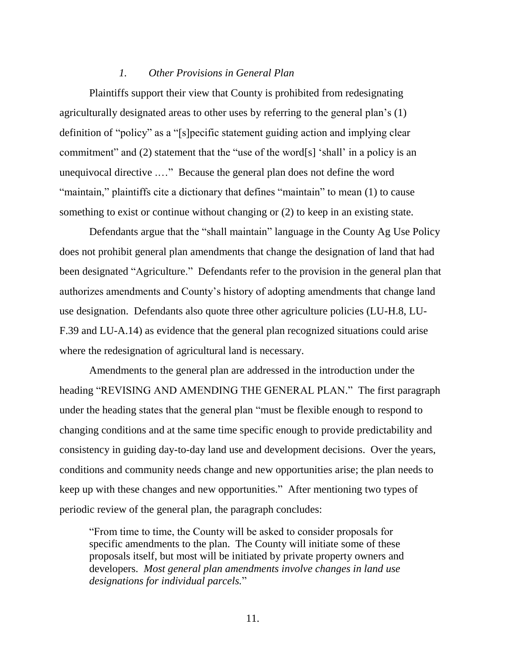#### *1. Other Provisions in General Plan*

Plaintiffs support their view that County is prohibited from redesignating agriculturally designated areas to other uses by referring to the general plan's (1) definition of "policy" as a "[s]pecific statement guiding action and implying clear commitment" and (2) statement that the "use of the word[s] 'shall' in a policy is an unequivocal directive .…" Because the general plan does not define the word "maintain," plaintiffs cite a dictionary that defines "maintain" to mean (1) to cause something to exist or continue without changing or (2) to keep in an existing state.

Defendants argue that the "shall maintain" language in the County Ag Use Policy does not prohibit general plan amendments that change the designation of land that had been designated "Agriculture." Defendants refer to the provision in the general plan that authorizes amendments and County's history of adopting amendments that change land use designation. Defendants also quote three other agriculture policies (LU-H.8, LU-F.39 and LU-A.14) as evidence that the general plan recognized situations could arise where the redesignation of agricultural land is necessary.

Amendments to the general plan are addressed in the introduction under the heading "REVISING AND AMENDING THE GENERAL PLAN." The first paragraph under the heading states that the general plan "must be flexible enough to respond to changing conditions and at the same time specific enough to provide predictability and consistency in guiding day-to-day land use and development decisions. Over the years, conditions and community needs change and new opportunities arise; the plan needs to keep up with these changes and new opportunities." After mentioning two types of periodic review of the general plan, the paragraph concludes:

"From time to time, the County will be asked to consider proposals for specific amendments to the plan. The County will initiate some of these proposals itself, but most will be initiated by private property owners and developers. *Most general plan amendments involve changes in land use designations for individual parcels.*"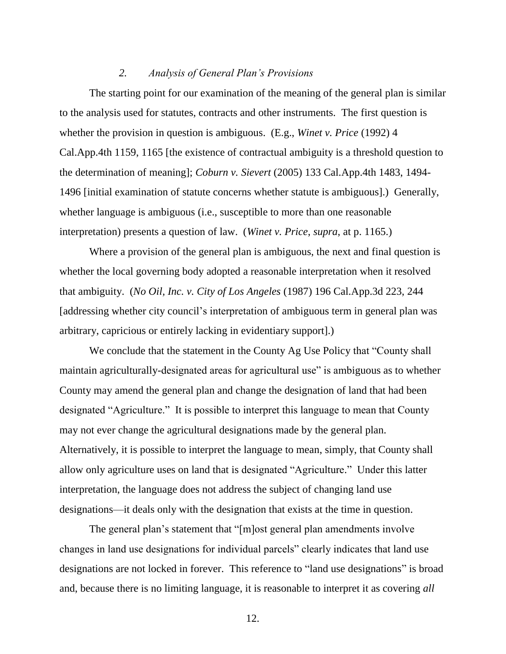#### *2. Analysis of General Plan's Provisions*

The starting point for our examination of the meaning of the general plan is similar to the analysis used for statutes, contracts and other instruments. The first question is whether the provision in question is ambiguous. (E.g., *Winet v. Price* (1992) 4 Cal.App.4th 1159, 1165 [the existence of contractual ambiguity is a threshold question to the determination of meaning]; *Coburn v. Sievert* (2005) 133 Cal.App.4th 1483, 1494- 1496 [initial examination of statute concerns whether statute is ambiguous].) Generally, whether language is ambiguous (i.e., susceptible to more than one reasonable interpretation) presents a question of law. (*Winet v. Price*, *supra*, at p. 1165.)

Where a provision of the general plan is ambiguous, the next and final question is whether the local governing body adopted a reasonable interpretation when it resolved that ambiguity. (*No Oil, Inc. v. City of Los Angeles* (1987) 196 Cal.App.3d 223, 244 [addressing whether city council's interpretation of ambiguous term in general plan was arbitrary, capricious or entirely lacking in evidentiary support].)

We conclude that the statement in the County Ag Use Policy that "County shall maintain agriculturally-designated areas for agricultural use" is ambiguous as to whether County may amend the general plan and change the designation of land that had been designated "Agriculture." It is possible to interpret this language to mean that County may not ever change the agricultural designations made by the general plan. Alternatively, it is possible to interpret the language to mean, simply, that County shall allow only agriculture uses on land that is designated "Agriculture." Under this latter interpretation, the language does not address the subject of changing land use designations—it deals only with the designation that exists at the time in question.

The general plan's statement that "[m]ost general plan amendments involve changes in land use designations for individual parcels" clearly indicates that land use designations are not locked in forever. This reference to "land use designations" is broad and, because there is no limiting language, it is reasonable to interpret it as covering *all*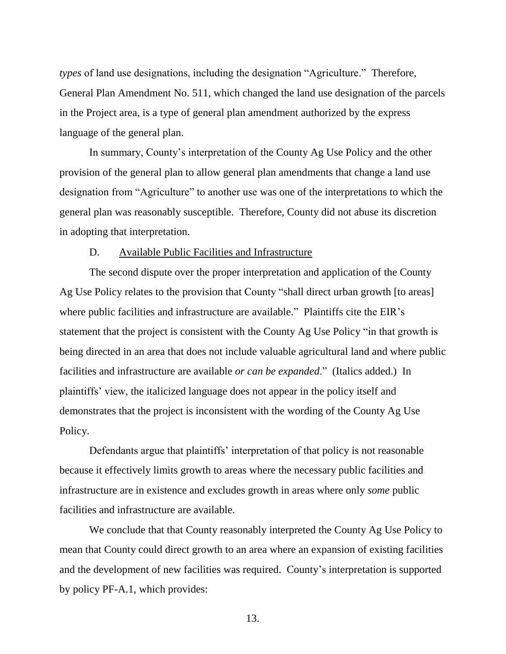*types* of land use designations, including the designation "Agriculture." Therefore, General Plan Amendment No. 511, which changed the land use designation of the parcels in the Project area, is a type of general plan amendment authorized by the express language of the general plan.

In summary, County's interpretation of the County Ag Use Policy and the other provision of the general plan to allow general plan amendments that change a land use designation from "Agriculture" to another use was one of the interpretations to which the general plan was reasonably susceptible. Therefore, County did not abuse its discretion in adopting that interpretation.

## D. Available Public Facilities and Infrastructure

The second dispute over the proper interpretation and application of the County Ag Use Policy relates to the provision that County "shall direct urban growth [to areas] where public facilities and infrastructure are available." Plaintiffs cite the EIR's statement that the project is consistent with the County Ag Use Policy "in that growth is being directed in an area that does not include valuable agricultural land and where public facilities and infrastructure are available *or can be expanded*." (Italics added.) In plaintiffs' view, the italicized language does not appear in the policy itself and demonstrates that the project is inconsistent with the wording of the County Ag Use Policy.

Defendants argue that plaintiffs' interpretation of that policy is not reasonable because it effectively limits growth to areas where the necessary public facilities and infrastructure are in existence and excludes growth in areas where only *some* public facilities and infrastructure are available.

We conclude that that County reasonably interpreted the County Ag Use Policy to mean that County could direct growth to an area where an expansion of existing facilities and the development of new facilities was required. County's interpretation is supported by policy PF-A.1, which provides: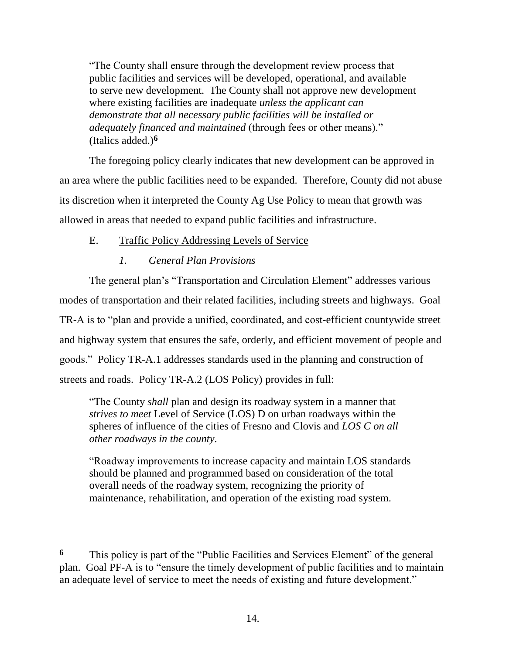"The County shall ensure through the development review process that public facilities and services will be developed, operational, and available to serve new development. The County shall not approve new development where existing facilities are inadequate *unless the applicant can demonstrate that all necessary public facilities will be installed or adequately financed and maintained* (through fees or other means)." (Italics added.)**<sup>6</sup>**

The foregoing policy clearly indicates that new development can be approved in an area where the public facilities need to be expanded. Therefore, County did not abuse its discretion when it interpreted the County Ag Use Policy to mean that growth was allowed in areas that needed to expand public facilities and infrastructure.

# E. Traffic Policy Addressing Levels of Service

# *1. General Plan Provisions*

 $\overline{a}$ 

The general plan's "Transportation and Circulation Element" addresses various modes of transportation and their related facilities, including streets and highways. Goal TR-A is to "plan and provide a unified, coordinated, and cost-efficient countywide street and highway system that ensures the safe, orderly, and efficient movement of people and goods." Policy TR-A.1 addresses standards used in the planning and construction of streets and roads. Policy TR-A.2 (LOS Policy) provides in full:

"The County *shall* plan and design its roadway system in a manner that *strives to meet* Level of Service (LOS) D on urban roadways within the spheres of influence of the cities of Fresno and Clovis and *LOS C on all other roadways in the county*.

"Roadway improvements to increase capacity and maintain LOS standards should be planned and programmed based on consideration of the total overall needs of the roadway system, recognizing the priority of maintenance, rehabilitation, and operation of the existing road system.

**<sup>6</sup>** This policy is part of the "Public Facilities and Services Element" of the general plan. Goal PF-A is to "ensure the timely development of public facilities and to maintain an adequate level of service to meet the needs of existing and future development."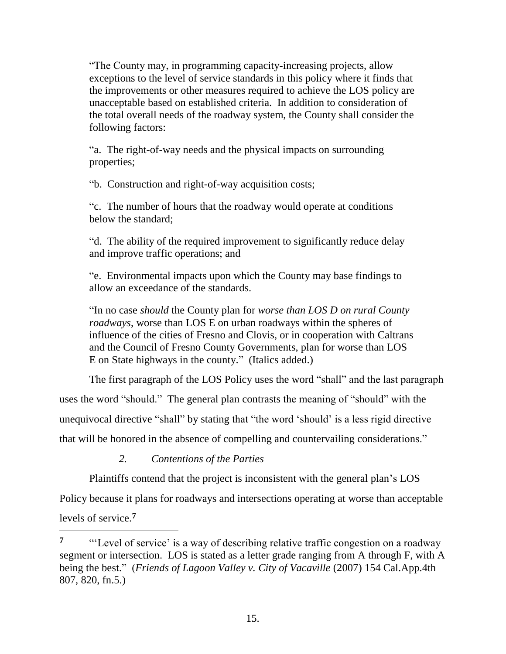"The County may, in programming capacity-increasing projects, allow exceptions to the level of service standards in this policy where it finds that the improvements or other measures required to achieve the LOS policy are unacceptable based on established criteria. In addition to consideration of the total overall needs of the roadway system, the County shall consider the following factors:

"a. The right-of-way needs and the physical impacts on surrounding properties;

"b. Construction and right-of-way acquisition costs;

"c. The number of hours that the roadway would operate at conditions below the standard;

"d. The ability of the required improvement to significantly reduce delay and improve traffic operations; and

"e. Environmental impacts upon which the County may base findings to allow an exceedance of the standards.

"In no case *should* the County plan for *worse than LOS D on rural County roadways*, worse than LOS E on urban roadways within the spheres of influence of the cities of Fresno and Clovis, or in cooperation with Caltrans and the Council of Fresno County Governments, plan for worse than LOS E on State highways in the county." (Italics added.)

The first paragraph of the LOS Policy uses the word "shall" and the last paragraph

uses the word "should." The general plan contrasts the meaning of "should" with the unequivocal directive "shall" by stating that "the word 'should' is a less rigid directive that will be honored in the absence of compelling and countervailing considerations."

*2. Contentions of the Parties*

 $\overline{a}$ 

Plaintiffs contend that the project is inconsistent with the general plan's LOS

Policy because it plans for roadways and intersections operating at worse than acceptable levels of service.**<sup>7</sup>**

<sup>&</sup>lt;sup>7</sup> ""Level of service' is a way of describing relative traffic congestion on a roadway" segment or intersection. LOS is stated as a letter grade ranging from A through F, with A being the best." (*Friends of Lagoon Valley v. City of Vacaville* (2007) 154 Cal.App.4th 807, 820, fn.5.)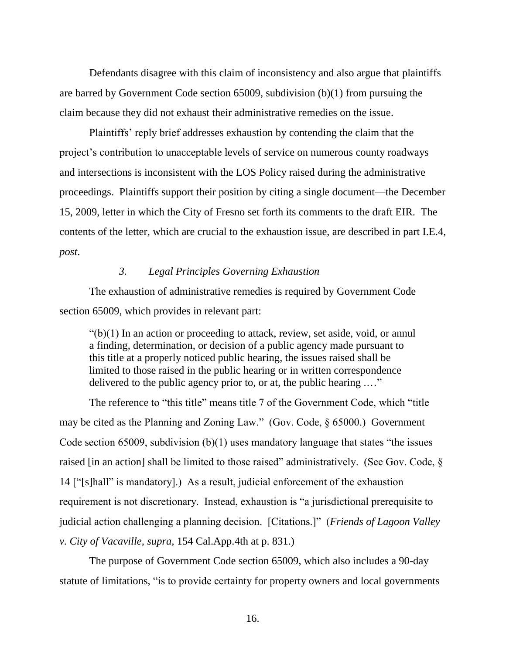Defendants disagree with this claim of inconsistency and also argue that plaintiffs are barred by Government Code section 65009, subdivision (b)(1) from pursuing the claim because they did not exhaust their administrative remedies on the issue.

Plaintiffs' reply brief addresses exhaustion by contending the claim that the project's contribution to unacceptable levels of service on numerous county roadways and intersections is inconsistent with the LOS Policy raised during the administrative proceedings. Plaintiffs support their position by citing a single document—the December 15, 2009, letter in which the City of Fresno set forth its comments to the draft EIR. The contents of the letter, which are crucial to the exhaustion issue, are described in part I.E.4, *post*.

# *3. Legal Principles Governing Exhaustion*

The exhaustion of administrative remedies is required by Government Code section 65009, which provides in relevant part:

 $\degree$ (b)(1) In an action or proceeding to attack, review, set aside, void, or annul a finding, determination, or decision of a public agency made pursuant to this title at a properly noticed public hearing, the issues raised shall be limited to those raised in the public hearing or in written correspondence delivered to the public agency prior to, or at, the public hearing .…"

The reference to "this title" means title 7 of the Government Code, which "title may be cited as the Planning and Zoning Law." (Gov. Code, § 65000.) Government Code section 65009, subdivision (b)(1) uses mandatory language that states "the issues raised [in an action] shall be limited to those raised" administratively. (See Gov. Code, § 14 ["[s]hall" is mandatory].) As a result, judicial enforcement of the exhaustion requirement is not discretionary. Instead, exhaustion is "a jurisdictional prerequisite to judicial action challenging a planning decision. [Citations.]" (*Friends of Lagoon Valley v. City of Vacaville, supra,* 154 Cal.App.4th at p. 831.)

The purpose of Government Code section 65009, which also includes a 90-day statute of limitations, "is to provide certainty for property owners and local governments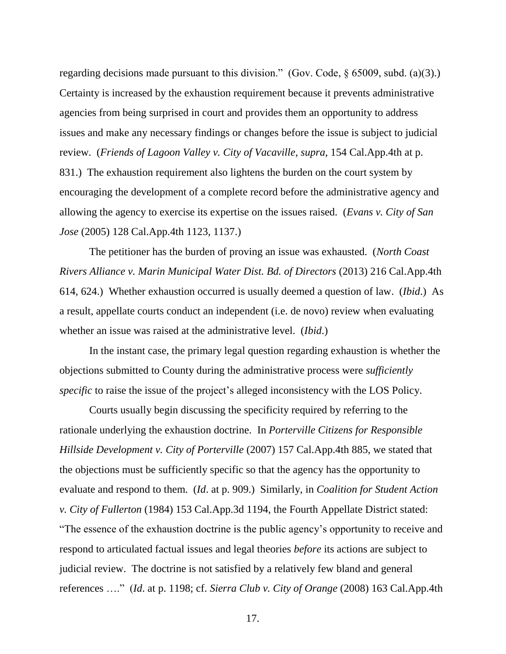regarding decisions made pursuant to this division." (Gov. Code,  $\S$  65009, subd. (a)(3).) Certainty is increased by the exhaustion requirement because it prevents administrative agencies from being surprised in court and provides them an opportunity to address issues and make any necessary findings or changes before the issue is subject to judicial review. (*Friends of Lagoon Valley v. City of Vacaville, supra,* 154 Cal.App.4th at p. 831.) The exhaustion requirement also lightens the burden on the court system by encouraging the development of a complete record before the administrative agency and allowing the agency to exercise its expertise on the issues raised. (*Evans v. City of San Jose* (2005) 128 Cal.App.4th 1123, 1137.)

The petitioner has the burden of proving an issue was exhausted. (*North Coast Rivers Alliance v. Marin Municipal Water Dist. Bd. of Directors* (2013) 216 Cal.App.4th 614, 624.) Whether exhaustion occurred is usually deemed a question of law. (*Ibid*.) As a result, appellate courts conduct an independent (i.e. de novo) review when evaluating whether an issue was raised at the administrative level. (*Ibid*.)

In the instant case, the primary legal question regarding exhaustion is whether the objections submitted to County during the administrative process were *sufficiently specific* to raise the issue of the project's alleged inconsistency with the LOS Policy.

Courts usually begin discussing the specificity required by referring to the rationale underlying the exhaustion doctrine. In *Porterville Citizens for Responsible Hillside Development v. City of Porterville* (2007) 157 Cal.App.4th 885, we stated that the objections must be sufficiently specific so that the agency has the opportunity to evaluate and respond to them. (*Id*. at p. 909.) Similarly, in *Coalition for Student Action v. City of Fullerton* (1984) 153 Cal.App.3d 1194, the Fourth Appellate District stated: "The essence of the exhaustion doctrine is the public agency's opportunity to receive and respond to articulated factual issues and legal theories *before* its actions are subject to judicial review. The doctrine is not satisfied by a relatively few bland and general references …." (*Id*. at p. 1198; cf. *Sierra Club v. City of Orange* (2008) 163 Cal.App.4th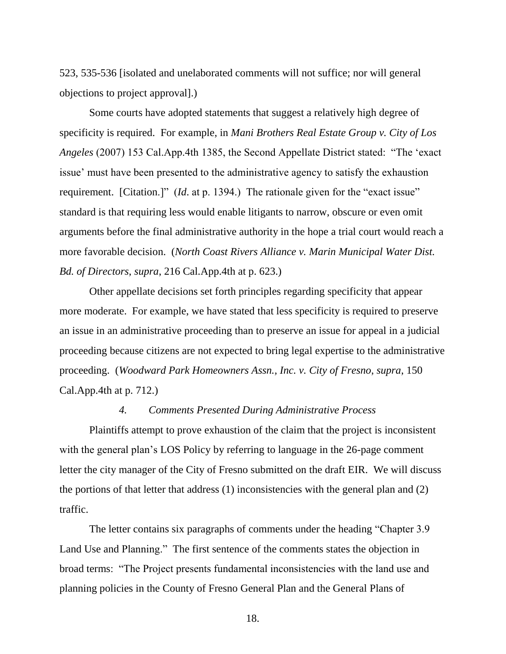523, 535-536 [isolated and unelaborated comments will not suffice; nor will general objections to project approval].)

Some courts have adopted statements that suggest a relatively high degree of specificity is required. For example, in *Mani Brothers Real Estate Group v. City of Los Angeles* (2007) 153 Cal.App.4th 1385, the Second Appellate District stated: "The 'exact issue' must have been presented to the administrative agency to satisfy the exhaustion requirement. [Citation.]" (*Id*. at p. 1394.) The rationale given for the "exact issue" standard is that requiring less would enable litigants to narrow, obscure or even omit arguments before the final administrative authority in the hope a trial court would reach a more favorable decision. (*North Coast Rivers Alliance v. Marin Municipal Water Dist. Bd. of Directors*, *supra*, 216 Cal.App.4th at p. 623.)

Other appellate decisions set forth principles regarding specificity that appear more moderate. For example, we have stated that less specificity is required to preserve an issue in an administrative proceeding than to preserve an issue for appeal in a judicial proceeding because citizens are not expected to bring legal expertise to the administrative proceeding. (*Woodward Park Homeowners Assn., Inc. v. City of Fresno*, *supra*, 150 Cal.App.4th at p. 712.)

#### *4. Comments Presented During Administrative Process*

Plaintiffs attempt to prove exhaustion of the claim that the project is inconsistent with the general plan's LOS Policy by referring to language in the 26-page comment letter the city manager of the City of Fresno submitted on the draft EIR. We will discuss the portions of that letter that address (1) inconsistencies with the general plan and (2) traffic.

The letter contains six paragraphs of comments under the heading "Chapter 3.9 Land Use and Planning." The first sentence of the comments states the objection in broad terms: "The Project presents fundamental inconsistencies with the land use and planning policies in the County of Fresno General Plan and the General Plans of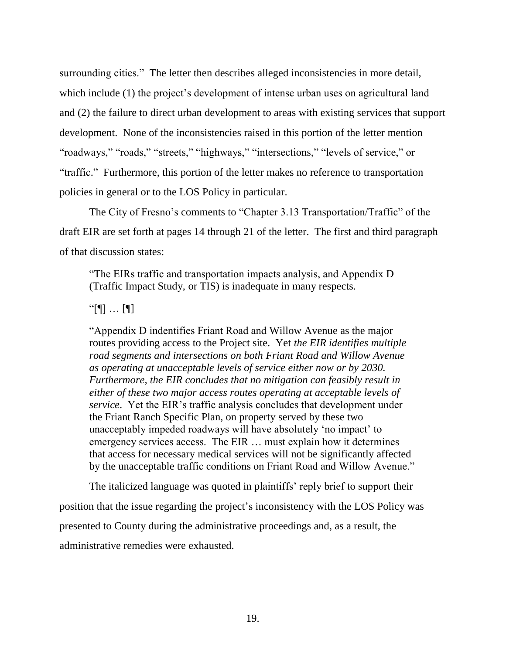surrounding cities." The letter then describes alleged inconsistencies in more detail, which include (1) the project's development of intense urban uses on agricultural land and (2) the failure to direct urban development to areas with existing services that support development. None of the inconsistencies raised in this portion of the letter mention "roadways," "roads," "streets," "highways," "intersections," "levels of service," or "traffic." Furthermore, this portion of the letter makes no reference to transportation policies in general or to the LOS Policy in particular.

The City of Fresno's comments to "Chapter 3.13 Transportation/Traffic" of the draft EIR are set forth at pages 14 through 21 of the letter. The first and third paragraph of that discussion states:

"The EIRs traffic and transportation impacts analysis, and Appendix D (Traffic Impact Study, or TIS) is inadequate in many respects.

 $"$ [[]  $\ldots$  [[]]

"Appendix D indentifies Friant Road and Willow Avenue as the major routes providing access to the Project site. Yet *the EIR identifies multiple road segments and intersections on both Friant Road and Willow Avenue as operating at unacceptable levels of service either now or by 2030. Furthermore, the EIR concludes that no mitigation can feasibly result in either of these two major access routes operating at acceptable levels of service*. Yet the EIR's traffic analysis concludes that development under the Friant Ranch Specific Plan, on property served by these two unacceptably impeded roadways will have absolutely 'no impact' to emergency services access. The EIR … must explain how it determines that access for necessary medical services will not be significantly affected by the unacceptable traffic conditions on Friant Road and Willow Avenue."

The italicized language was quoted in plaintiffs' reply brief to support their position that the issue regarding the project's inconsistency with the LOS Policy was presented to County during the administrative proceedings and, as a result, the administrative remedies were exhausted.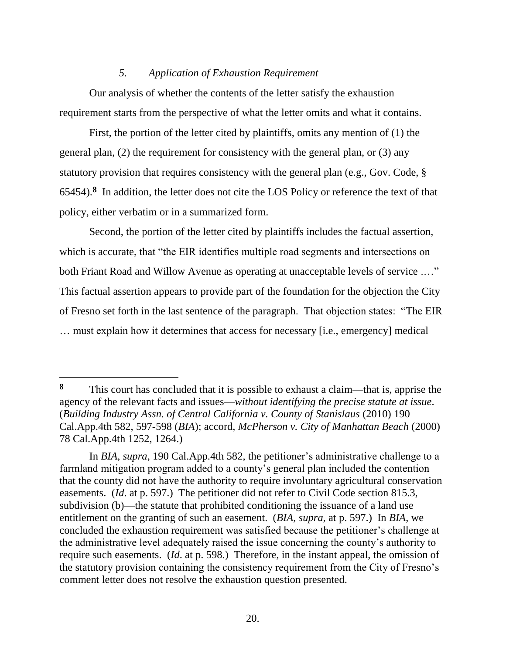#### *5. Application of Exhaustion Requirement*

Our analysis of whether the contents of the letter satisfy the exhaustion requirement starts from the perspective of what the letter omits and what it contains.

First, the portion of the letter cited by plaintiffs, omits any mention of (1) the general plan, (2) the requirement for consistency with the general plan, or (3) any statutory provision that requires consistency with the general plan (e.g., Gov. Code, § 65454). **8** In addition, the letter does not cite the LOS Policy or reference the text of that policy, either verbatim or in a summarized form.

Second, the portion of the letter cited by plaintiffs includes the factual assertion, which is accurate, that "the EIR identifies multiple road segments and intersections on both Friant Road and Willow Avenue as operating at unacceptable levels of service ...." This factual assertion appears to provide part of the foundation for the objection the City of Fresno set forth in the last sentence of the paragraph. That objection states: "The EIR … must explain how it determines that access for necessary [i.e., emergency] medical

**<sup>8</sup>** This court has concluded that it is possible to exhaust a claim—that is, apprise the agency of the relevant facts and issues—*without identifying the precise statute at issue*. (*Building Industry Assn. of Central California v. County of Stanislaus* (2010) 190 Cal.App.4th 582, 597-598 (*BIA*); accord, *McPherson v. City of Manhattan Beach* (2000) 78 Cal.App.4th 1252, 1264.)

In *BIA*, *supra*, 190 Cal.App.4th 582, the petitioner's administrative challenge to a farmland mitigation program added to a county's general plan included the contention that the county did not have the authority to require involuntary agricultural conservation easements. (*Id*. at p. 597.) The petitioner did not refer to Civil Code section 815.3, subdivision (b)—the statute that prohibited conditioning the issuance of a land use entitlement on the granting of such an easement. (*BIA*, *supra*, at p. 597.) In *BIA*, we concluded the exhaustion requirement was satisfied because the petitioner's challenge at the administrative level adequately raised the issue concerning the county's authority to require such easements. (*Id*. at p. 598.) Therefore, in the instant appeal, the omission of the statutory provision containing the consistency requirement from the City of Fresno's comment letter does not resolve the exhaustion question presented.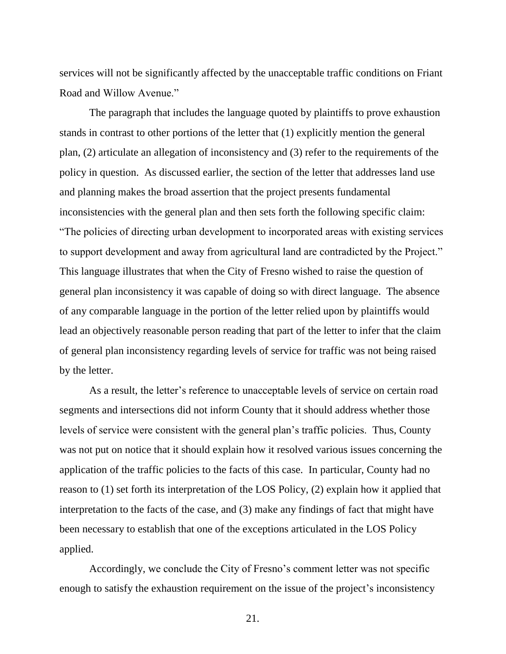services will not be significantly affected by the unacceptable traffic conditions on Friant Road and Willow Avenue."

The paragraph that includes the language quoted by plaintiffs to prove exhaustion stands in contrast to other portions of the letter that (1) explicitly mention the general plan, (2) articulate an allegation of inconsistency and (3) refer to the requirements of the policy in question. As discussed earlier, the section of the letter that addresses land use and planning makes the broad assertion that the project presents fundamental inconsistencies with the general plan and then sets forth the following specific claim: "The policies of directing urban development to incorporated areas with existing services to support development and away from agricultural land are contradicted by the Project." This language illustrates that when the City of Fresno wished to raise the question of general plan inconsistency it was capable of doing so with direct language. The absence of any comparable language in the portion of the letter relied upon by plaintiffs would lead an objectively reasonable person reading that part of the letter to infer that the claim of general plan inconsistency regarding levels of service for traffic was not being raised by the letter.

As a result, the letter's reference to unacceptable levels of service on certain road segments and intersections did not inform County that it should address whether those levels of service were consistent with the general plan's traffic policies. Thus, County was not put on notice that it should explain how it resolved various issues concerning the application of the traffic policies to the facts of this case. In particular, County had no reason to (1) set forth its interpretation of the LOS Policy, (2) explain how it applied that interpretation to the facts of the case, and (3) make any findings of fact that might have been necessary to establish that one of the exceptions articulated in the LOS Policy applied.

Accordingly, we conclude the City of Fresno's comment letter was not specific enough to satisfy the exhaustion requirement on the issue of the project's inconsistency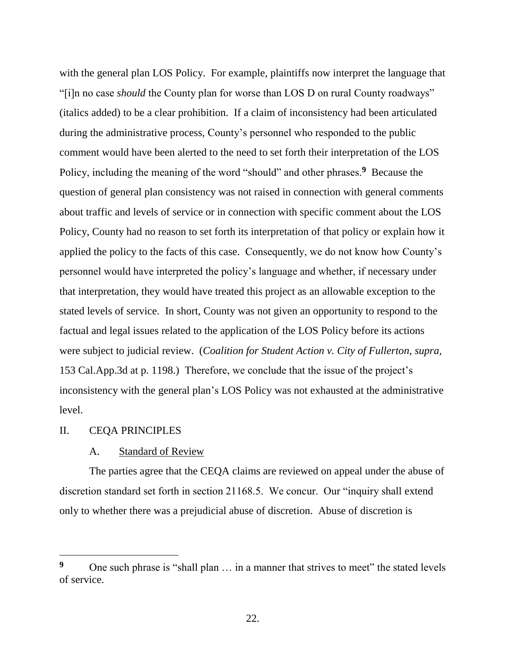with the general plan LOS Policy. For example, plaintiffs now interpret the language that "[i]n no case *should* the County plan for worse than LOS D on rural County roadways" (italics added) to be a clear prohibition. If a claim of inconsistency had been articulated during the administrative process, County's personnel who responded to the public comment would have been alerted to the need to set forth their interpretation of the LOS Policy, including the meaning of the word "should" and other phrases.<sup>9</sup> Because the question of general plan consistency was not raised in connection with general comments about traffic and levels of service or in connection with specific comment about the LOS Policy, County had no reason to set forth its interpretation of that policy or explain how it applied the policy to the facts of this case. Consequently, we do not know how County's personnel would have interpreted the policy's language and whether, if necessary under that interpretation, they would have treated this project as an allowable exception to the stated levels of service. In short, County was not given an opportunity to respond to the factual and legal issues related to the application of the LOS Policy before its actions were subject to judicial review. (*Coalition for Student Action v. City of Fullerton, supra,*  153 Cal.App.3d at p. 1198.) Therefore, we conclude that the issue of the project's inconsistency with the general plan's LOS Policy was not exhausted at the administrative level.

#### II. CEQA PRINCIPLES

 $\overline{a}$ 

#### A. Standard of Review

The parties agree that the CEQA claims are reviewed on appeal under the abuse of discretion standard set forth in section 21168.5. We concur. Our "inquiry shall extend only to whether there was a prejudicial abuse of discretion. Abuse of discretion is

<sup>&</sup>lt;sup>9</sup> One such phrase is "shall plan ... in a manner that strives to meet" the stated levels of service.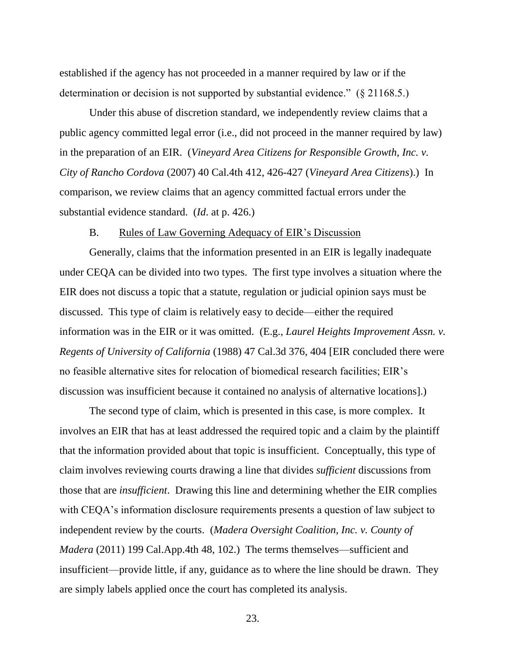established if the agency has not proceeded in a manner required by law or if the determination or decision is not supported by substantial evidence." (§ 21168.5.)

Under this abuse of discretion standard, we independently review claims that a public agency committed legal error (i.e., did not proceed in the manner required by law) in the preparation of an EIR. (*Vineyard Area Citizens for Responsible Growth, Inc. v. City of Rancho Cordova* (2007) 40 Cal.4th 412, 426-427 (*Vineyard Area Citizens*).) In comparison, we review claims that an agency committed factual errors under the substantial evidence standard. (*Id*. at p. 426.)

#### B. Rules of Law Governing Adequacy of EIR's Discussion

Generally, claims that the information presented in an EIR is legally inadequate under CEQA can be divided into two types. The first type involves a situation where the EIR does not discuss a topic that a statute, regulation or judicial opinion says must be discussed. This type of claim is relatively easy to decide—either the required information was in the EIR or it was omitted. (E.g., *Laurel Heights Improvement Assn. v. Regents of University of California* (1988) 47 Cal.3d 376, 404 [EIR concluded there were no feasible alternative sites for relocation of biomedical research facilities; EIR's discussion was insufficient because it contained no analysis of alternative locations].)

The second type of claim, which is presented in this case, is more complex. It involves an EIR that has at least addressed the required topic and a claim by the plaintiff that the information provided about that topic is insufficient. Conceptually, this type of claim involves reviewing courts drawing a line that divides *sufficient* discussions from those that are *insufficient*. Drawing this line and determining whether the EIR complies with CEQA's information disclosure requirements presents a question of law subject to independent review by the courts. (*Madera Oversight Coalition, Inc. v. County of Madera* (2011) 199 Cal.App.4th 48, 102.) The terms themselves—sufficient and insufficient—provide little, if any, guidance as to where the line should be drawn. They are simply labels applied once the court has completed its analysis.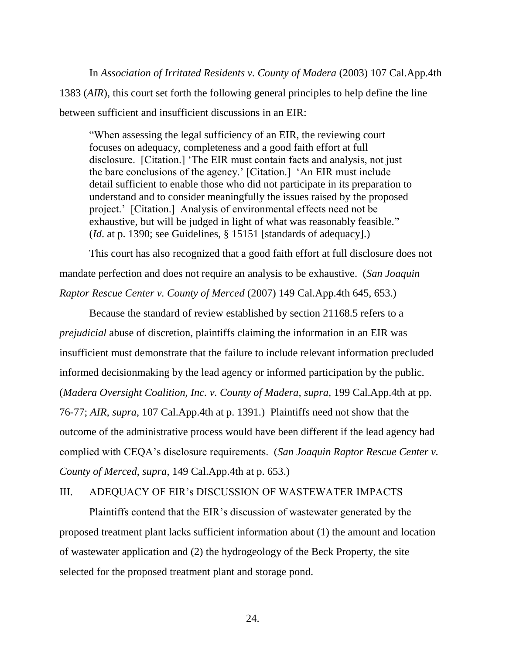In *Association of Irritated Residents v. County of Madera* (2003) 107 Cal.App.4th 1383 (*AIR*), this court set forth the following general principles to help define the line between sufficient and insufficient discussions in an EIR:

"When assessing the legal sufficiency of an EIR, the reviewing court focuses on adequacy, completeness and a good faith effort at full disclosure. [Citation.] 'The EIR must contain facts and analysis, not just the bare conclusions of the agency.' [Citation.] 'An EIR must include detail sufficient to enable those who did not participate in its preparation to understand and to consider meaningfully the issues raised by the proposed project.' [Citation.] Analysis of environmental effects need not be exhaustive, but will be judged in light of what was reasonably feasible." (*Id*. at p. 1390; see Guidelines, § 15151 [standards of adequacy].)

This court has also recognized that a good faith effort at full disclosure does not mandate perfection and does not require an analysis to be exhaustive. (*San Joaquin Raptor Rescue Center v. County of Merced* (2007) 149 Cal.App.4th 645, 653.)

Because the standard of review established by section 21168.5 refers to a *prejudicial* abuse of discretion, plaintiffs claiming the information in an EIR was insufficient must demonstrate that the failure to include relevant information precluded informed decisionmaking by the lead agency or informed participation by the public. (*Madera Oversight Coalition, Inc. v. County of Madera, supra,* 199 Cal.App.4th at pp. 76-77; *AIR*, *supra*, 107 Cal.App.4th at p. 1391.) Plaintiffs need not show that the outcome of the administrative process would have been different if the lead agency had complied with CEQA's disclosure requirements. (*San Joaquin Raptor Rescue Center v. County of Merced*, *supra*, 149 Cal.App.4th at p. 653.)

# III. ADEQUACY OF EIR's DISCUSSION OF WASTEWATER IMPACTS

Plaintiffs contend that the EIR's discussion of wastewater generated by the proposed treatment plant lacks sufficient information about (1) the amount and location of wastewater application and (2) the hydrogeology of the Beck Property, the site selected for the proposed treatment plant and storage pond.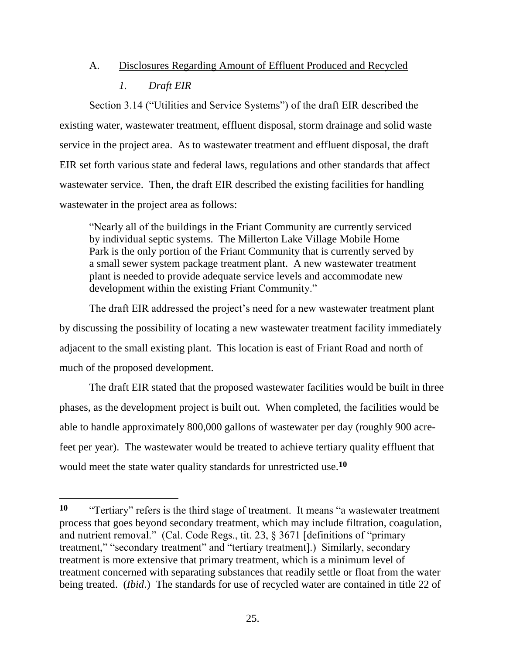# A. Disclosures Regarding Amount of Effluent Produced and Recycled *1. Draft EIR*

Section 3.14 ("Utilities and Service Systems") of the draft EIR described the existing water, wastewater treatment, effluent disposal, storm drainage and solid waste service in the project area. As to wastewater treatment and effluent disposal, the draft EIR set forth various state and federal laws, regulations and other standards that affect wastewater service. Then, the draft EIR described the existing facilities for handling wastewater in the project area as follows:

"Nearly all of the buildings in the Friant Community are currently serviced by individual septic systems. The Millerton Lake Village Mobile Home Park is the only portion of the Friant Community that is currently served by a small sewer system package treatment plant. A new wastewater treatment plant is needed to provide adequate service levels and accommodate new development within the existing Friant Community."

The draft EIR addressed the project's need for a new wastewater treatment plant by discussing the possibility of locating a new wastewater treatment facility immediately adjacent to the small existing plant. This location is east of Friant Road and north of much of the proposed development.

The draft EIR stated that the proposed wastewater facilities would be built in three phases, as the development project is built out. When completed, the facilities would be able to handle approximately 800,000 gallons of wastewater per day (roughly 900 acrefeet per year). The wastewater would be treated to achieve tertiary quality effluent that would meet the state water quality standards for unrestricted use.**<sup>10</sup>**

**<sup>10</sup>** "Tertiary" refers is the third stage of treatment. It means "a wastewater treatment process that goes beyond secondary treatment, which may include filtration, coagulation, and nutrient removal." (Cal. Code Regs., tit. 23, § 3671 [definitions of "primary treatment," "secondary treatment" and "tertiary treatment].) Similarly, secondary treatment is more extensive that primary treatment, which is a minimum level of treatment concerned with separating substances that readily settle or float from the water being treated. (*Ibid*.) The standards for use of recycled water are contained in title 22 of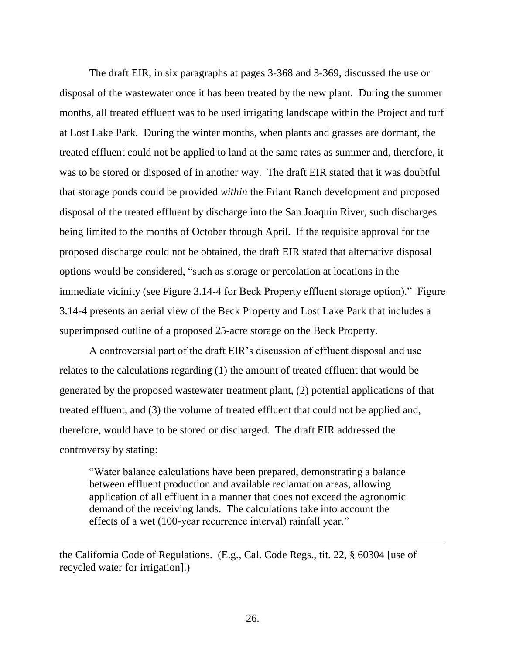The draft EIR, in six paragraphs at pages 3-368 and 3-369, discussed the use or disposal of the wastewater once it has been treated by the new plant. During the summer months, all treated effluent was to be used irrigating landscape within the Project and turf at Lost Lake Park. During the winter months, when plants and grasses are dormant, the treated effluent could not be applied to land at the same rates as summer and, therefore, it was to be stored or disposed of in another way. The draft EIR stated that it was doubtful that storage ponds could be provided *within* the Friant Ranch development and proposed disposal of the treated effluent by discharge into the San Joaquin River, such discharges being limited to the months of October through April. If the requisite approval for the proposed discharge could not be obtained, the draft EIR stated that alternative disposal options would be considered, "such as storage or percolation at locations in the immediate vicinity (see Figure 3.14-4 for Beck Property effluent storage option)." Figure 3.14-4 presents an aerial view of the Beck Property and Lost Lake Park that includes a superimposed outline of a proposed 25-acre storage on the Beck Property.

A controversial part of the draft EIR's discussion of effluent disposal and use relates to the calculations regarding (1) the amount of treated effluent that would be generated by the proposed wastewater treatment plant, (2) potential applications of that treated effluent, and (3) the volume of treated effluent that could not be applied and, therefore, would have to be stored or discharged. The draft EIR addressed the controversy by stating:

"Water balance calculations have been prepared, demonstrating a balance between effluent production and available reclamation areas, allowing application of all effluent in a manner that does not exceed the agronomic demand of the receiving lands. The calculations take into account the effects of a wet (100-year recurrence interval) rainfall year."

the California Code of Regulations. (E.g., Cal. Code Regs., tit. 22, § 60304 [use of recycled water for irrigation].)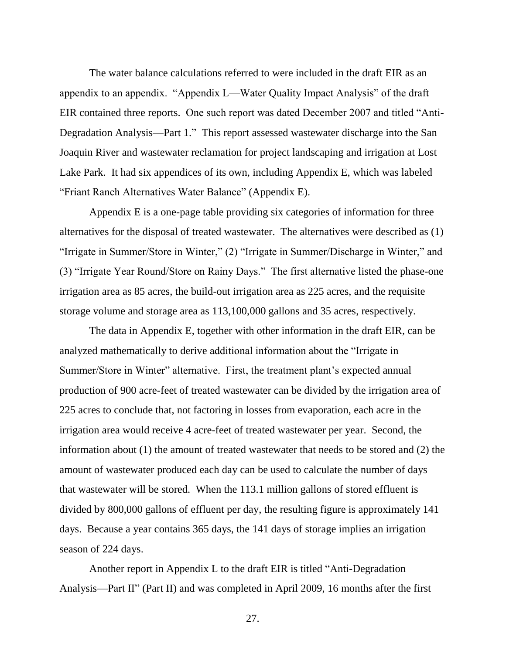The water balance calculations referred to were included in the draft EIR as an appendix to an appendix. "Appendix L—Water Quality Impact Analysis" of the draft EIR contained three reports. One such report was dated December 2007 and titled "Anti-Degradation Analysis—Part 1." This report assessed wastewater discharge into the San Joaquin River and wastewater reclamation for project landscaping and irrigation at Lost Lake Park. It had six appendices of its own, including Appendix E, which was labeled "Friant Ranch Alternatives Water Balance" (Appendix E).

Appendix E is a one-page table providing six categories of information for three alternatives for the disposal of treated wastewater. The alternatives were described as (1) "Irrigate in Summer/Store in Winter," (2) "Irrigate in Summer/Discharge in Winter," and (3) "Irrigate Year Round/Store on Rainy Days." The first alternative listed the phase-one irrigation area as 85 acres, the build-out irrigation area as 225 acres, and the requisite storage volume and storage area as 113,100,000 gallons and 35 acres, respectively.

The data in Appendix E, together with other information in the draft EIR, can be analyzed mathematically to derive additional information about the "Irrigate in Summer/Store in Winter" alternative. First, the treatment plant's expected annual production of 900 acre-feet of treated wastewater can be divided by the irrigation area of 225 acres to conclude that, not factoring in losses from evaporation, each acre in the irrigation area would receive 4 acre-feet of treated wastewater per year. Second, the information about (1) the amount of treated wastewater that needs to be stored and (2) the amount of wastewater produced each day can be used to calculate the number of days that wastewater will be stored. When the 113.1 million gallons of stored effluent is divided by 800,000 gallons of effluent per day, the resulting figure is approximately 141 days. Because a year contains 365 days, the 141 days of storage implies an irrigation season of 224 days.

Another report in Appendix L to the draft EIR is titled "Anti-Degradation Analysis—Part II" (Part II) and was completed in April 2009, 16 months after the first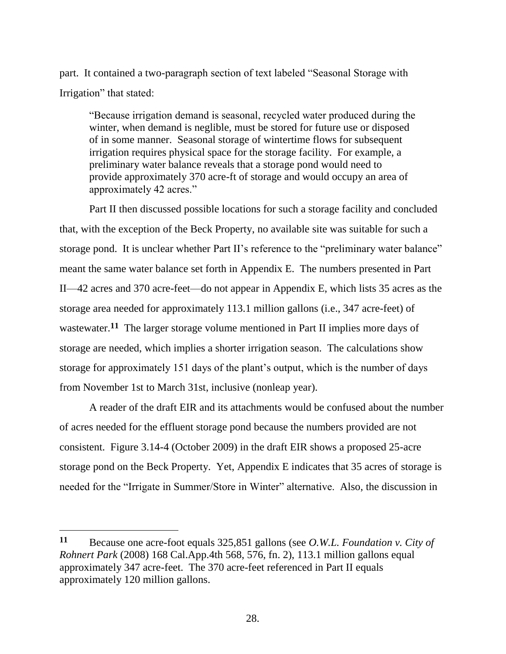part. It contained a two-paragraph section of text labeled "Seasonal Storage with Irrigation" that stated:

"Because irrigation demand is seasonal, recycled water produced during the winter, when demand is neglible, must be stored for future use or disposed of in some manner. Seasonal storage of wintertime flows for subsequent irrigation requires physical space for the storage facility. For example, a preliminary water balance reveals that a storage pond would need to provide approximately 370 acre-ft of storage and would occupy an area of approximately 42 acres."

Part II then discussed possible locations for such a storage facility and concluded that, with the exception of the Beck Property, no available site was suitable for such a storage pond. It is unclear whether Part II's reference to the "preliminary water balance" meant the same water balance set forth in Appendix E. The numbers presented in Part II—42 acres and 370 acre-feet—do not appear in Appendix E, which lists 35 acres as the storage area needed for approximately 113.1 million gallons (i.e., 347 acre-feet) of wastewater.<sup>11</sup> The larger storage volume mentioned in Part II implies more days of storage are needed, which implies a shorter irrigation season. The calculations show storage for approximately 151 days of the plant's output, which is the number of days from November 1st to March 31st, inclusive (nonleap year).

A reader of the draft EIR and its attachments would be confused about the number of acres needed for the effluent storage pond because the numbers provided are not consistent. Figure 3.14-4 (October 2009) in the draft EIR shows a proposed 25-acre storage pond on the Beck Property. Yet, Appendix E indicates that 35 acres of storage is needed for the "Irrigate in Summer/Store in Winter" alternative. Also, the discussion in

**<sup>11</sup>** Because one acre-foot equals 325,851 gallons (see *O.W.L. Foundation v. City of Rohnert Park* (2008) 168 Cal.App.4th 568, 576, fn. 2), 113.1 million gallons equal approximately 347 acre-feet. The 370 acre-feet referenced in Part II equals approximately 120 million gallons.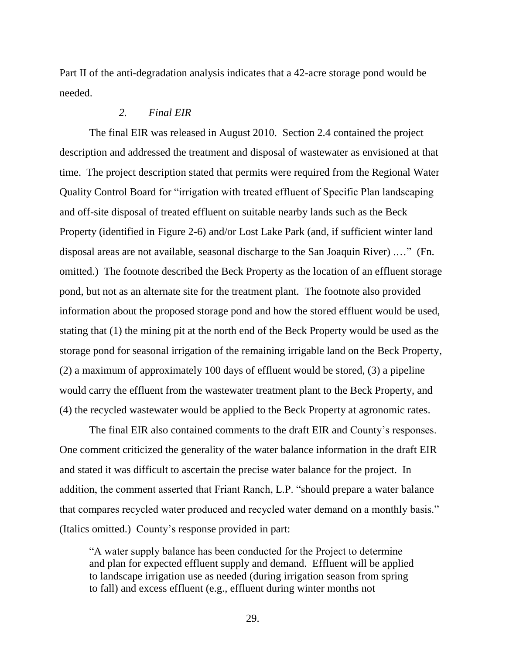Part II of the anti-degradation analysis indicates that a 42-acre storage pond would be needed.

# *2. Final EIR*

The final EIR was released in August 2010. Section 2.4 contained the project description and addressed the treatment and disposal of wastewater as envisioned at that time. The project description stated that permits were required from the Regional Water Quality Control Board for "irrigation with treated effluent of Specific Plan landscaping and off-site disposal of treated effluent on suitable nearby lands such as the Beck Property (identified in Figure 2-6) and/or Lost Lake Park (and, if sufficient winter land disposal areas are not available, seasonal discharge to the San Joaquin River) .…" (Fn. omitted.) The footnote described the Beck Property as the location of an effluent storage pond, but not as an alternate site for the treatment plant. The footnote also provided information about the proposed storage pond and how the stored effluent would be used, stating that (1) the mining pit at the north end of the Beck Property would be used as the storage pond for seasonal irrigation of the remaining irrigable land on the Beck Property, (2) a maximum of approximately 100 days of effluent would be stored, (3) a pipeline would carry the effluent from the wastewater treatment plant to the Beck Property, and (4) the recycled wastewater would be applied to the Beck Property at agronomic rates.

The final EIR also contained comments to the draft EIR and County's responses. One comment criticized the generality of the water balance information in the draft EIR and stated it was difficult to ascertain the precise water balance for the project. In addition, the comment asserted that Friant Ranch, L.P. "should prepare a water balance that compares recycled water produced and recycled water demand on a monthly basis." (Italics omitted.) County's response provided in part:

"A water supply balance has been conducted for the Project to determine and plan for expected effluent supply and demand. Effluent will be applied to landscape irrigation use as needed (during irrigation season from spring to fall) and excess effluent (e.g., effluent during winter months not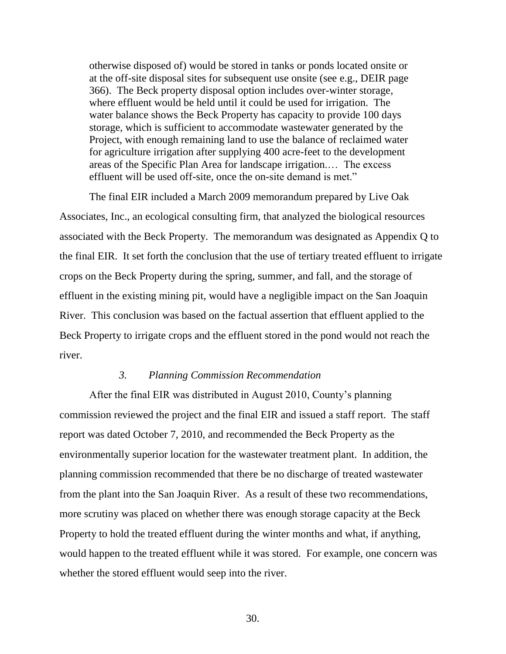otherwise disposed of) would be stored in tanks or ponds located onsite or at the off-site disposal sites for subsequent use onsite (see e.g., DEIR page 366). The Beck property disposal option includes over-winter storage, where effluent would be held until it could be used for irrigation. The water balance shows the Beck Property has capacity to provide 100 days storage, which is sufficient to accommodate wastewater generated by the Project, with enough remaining land to use the balance of reclaimed water for agriculture irrigation after supplying 400 acre-feet to the development areas of the Specific Plan Area for landscape irrigation.… The excess effluent will be used off-site, once the on-site demand is met."

The final EIR included a March 2009 memorandum prepared by Live Oak Associates, Inc., an ecological consulting firm, that analyzed the biological resources associated with the Beck Property. The memorandum was designated as Appendix Q to the final EIR. It set forth the conclusion that the use of tertiary treated effluent to irrigate crops on the Beck Property during the spring, summer, and fall, and the storage of effluent in the existing mining pit, would have a negligible impact on the San Joaquin River. This conclusion was based on the factual assertion that effluent applied to the Beck Property to irrigate crops and the effluent stored in the pond would not reach the river.

# *3. Planning Commission Recommendation*

After the final EIR was distributed in August 2010, County's planning commission reviewed the project and the final EIR and issued a staff report. The staff report was dated October 7, 2010, and recommended the Beck Property as the environmentally superior location for the wastewater treatment plant. In addition, the planning commission recommended that there be no discharge of treated wastewater from the plant into the San Joaquin River. As a result of these two recommendations, more scrutiny was placed on whether there was enough storage capacity at the Beck Property to hold the treated effluent during the winter months and what, if anything, would happen to the treated effluent while it was stored. For example, one concern was whether the stored effluent would seep into the river.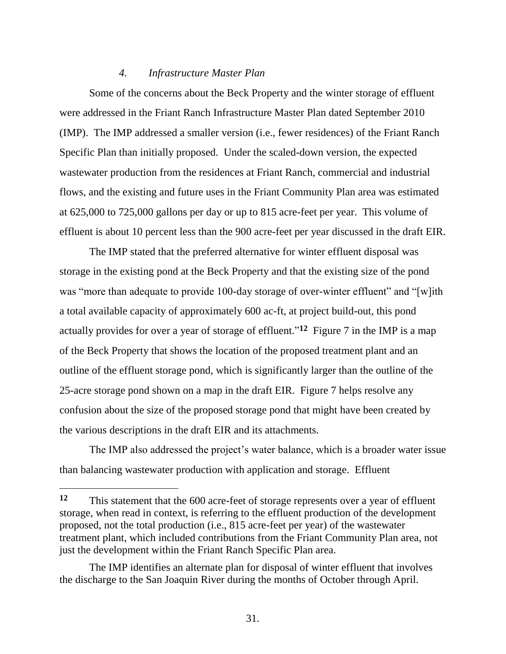#### *4. Infrastructure Master Plan*

Some of the concerns about the Beck Property and the winter storage of effluent were addressed in the Friant Ranch Infrastructure Master Plan dated September 2010 (IMP). The IMP addressed a smaller version (i.e., fewer residences) of the Friant Ranch Specific Plan than initially proposed. Under the scaled-down version, the expected wastewater production from the residences at Friant Ranch, commercial and industrial flows, and the existing and future uses in the Friant Community Plan area was estimated at 625,000 to 725,000 gallons per day or up to 815 acre-feet per year. This volume of effluent is about 10 percent less than the 900 acre-feet per year discussed in the draft EIR.

The IMP stated that the preferred alternative for winter effluent disposal was storage in the existing pond at the Beck Property and that the existing size of the pond was "more than adequate to provide 100-day storage of over-winter effluent" and "[w]ith a total available capacity of approximately 600 ac-ft, at project build-out, this pond actually provides for over a year of storage of effluent."<sup>12</sup> Figure 7 in the IMP is a map of the Beck Property that shows the location of the proposed treatment plant and an outline of the effluent storage pond, which is significantly larger than the outline of the 25-acre storage pond shown on a map in the draft EIR. Figure 7 helps resolve any confusion about the size of the proposed storage pond that might have been created by the various descriptions in the draft EIR and its attachments.

The IMP also addressed the project's water balance, which is a broader water issue than balancing wastewater production with application and storage. Effluent

**<sup>12</sup>** This statement that the 600 acre-feet of storage represents over a year of effluent storage, when read in context, is referring to the effluent production of the development proposed, not the total production (i.e., 815 acre-feet per year) of the wastewater treatment plant, which included contributions from the Friant Community Plan area, not just the development within the Friant Ranch Specific Plan area.

The IMP identifies an alternate plan for disposal of winter effluent that involves the discharge to the San Joaquin River during the months of October through April.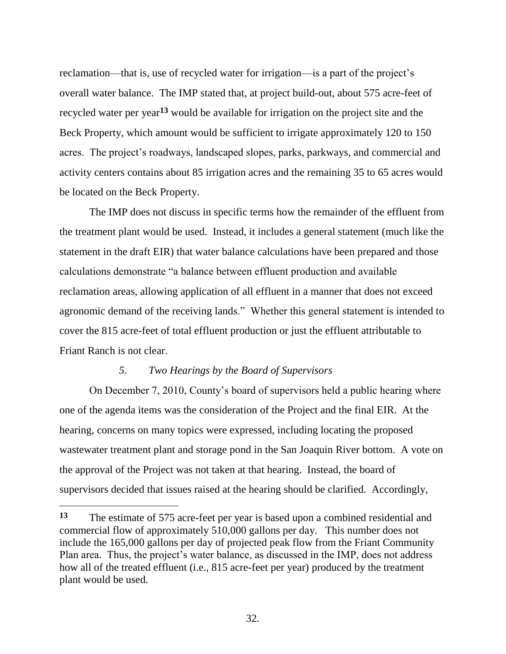reclamation—that is, use of recycled water for irrigation—is a part of the project's overall water balance. The IMP stated that, at project build-out, about 575 acre-feet of recycled water per year**<sup>13</sup>** would be available for irrigation on the project site and the Beck Property, which amount would be sufficient to irrigate approximately 120 to 150 acres. The project's roadways, landscaped slopes, parks, parkways, and commercial and activity centers contains about 85 irrigation acres and the remaining 35 to 65 acres would be located on the Beck Property.

The IMP does not discuss in specific terms how the remainder of the effluent from the treatment plant would be used. Instead, it includes a general statement (much like the statement in the draft EIR) that water balance calculations have been prepared and those calculations demonstrate "a balance between effluent production and available reclamation areas, allowing application of all effluent in a manner that does not exceed agronomic demand of the receiving lands." Whether this general statement is intended to cover the 815 acre-feet of total effluent production or just the effluent attributable to Friant Ranch is not clear.

# *5. Two Hearings by the Board of Supervisors*

 $\overline{a}$ 

On December 7, 2010, County's board of supervisors held a public hearing where one of the agenda items was the consideration of the Project and the final EIR. At the hearing, concerns on many topics were expressed, including locating the proposed wastewater treatment plant and storage pond in the San Joaquin River bottom. A vote on the approval of the Project was not taken at that hearing. Instead, the board of supervisors decided that issues raised at the hearing should be clarified. Accordingly,

**<sup>13</sup>** The estimate of 575 acre-feet per year is based upon a combined residential and commercial flow of approximately 510,000 gallons per day. This number does not include the 165,000 gallons per day of projected peak flow from the Friant Community Plan area. Thus, the project's water balance, as discussed in the IMP, does not address how all of the treated effluent (i.e., 815 acre-feet per year) produced by the treatment plant would be used.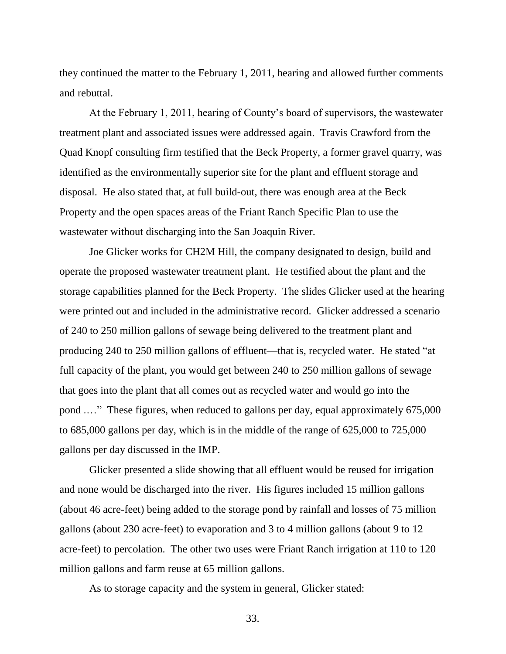they continued the matter to the February 1, 2011, hearing and allowed further comments and rebuttal.

At the February 1, 2011, hearing of County's board of supervisors, the wastewater treatment plant and associated issues were addressed again. Travis Crawford from the Quad Knopf consulting firm testified that the Beck Property, a former gravel quarry, was identified as the environmentally superior site for the plant and effluent storage and disposal. He also stated that, at full build-out, there was enough area at the Beck Property and the open spaces areas of the Friant Ranch Specific Plan to use the wastewater without discharging into the San Joaquin River.

Joe Glicker works for CH2M Hill, the company designated to design, build and operate the proposed wastewater treatment plant. He testified about the plant and the storage capabilities planned for the Beck Property. The slides Glicker used at the hearing were printed out and included in the administrative record. Glicker addressed a scenario of 240 to 250 million gallons of sewage being delivered to the treatment plant and producing 240 to 250 million gallons of effluent—that is, recycled water. He stated "at full capacity of the plant, you would get between 240 to 250 million gallons of sewage that goes into the plant that all comes out as recycled water and would go into the pond .…" These figures, when reduced to gallons per day, equal approximately 675,000 to 685,000 gallons per day, which is in the middle of the range of 625,000 to 725,000 gallons per day discussed in the IMP.

Glicker presented a slide showing that all effluent would be reused for irrigation and none would be discharged into the river. His figures included 15 million gallons (about 46 acre-feet) being added to the storage pond by rainfall and losses of 75 million gallons (about 230 acre-feet) to evaporation and 3 to 4 million gallons (about 9 to 12 acre-feet) to percolation. The other two uses were Friant Ranch irrigation at 110 to 120 million gallons and farm reuse at 65 million gallons.

As to storage capacity and the system in general, Glicker stated: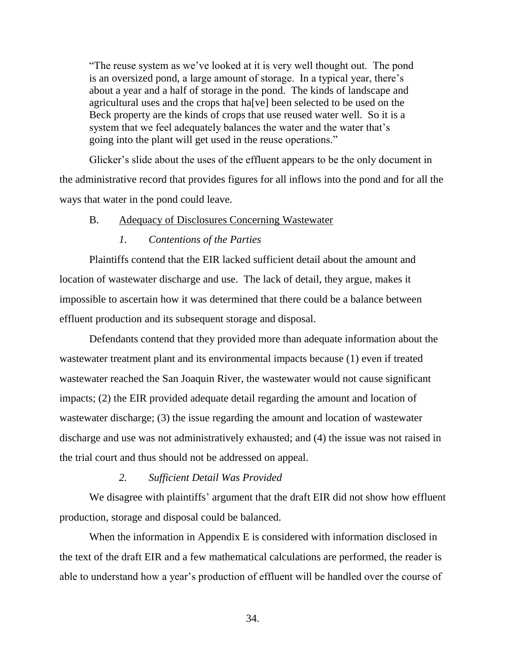"The reuse system as we've looked at it is very well thought out. The pond is an oversized pond, a large amount of storage. In a typical year, there's about a year and a half of storage in the pond. The kinds of landscape and agricultural uses and the crops that ha[ve] been selected to be used on the Beck property are the kinds of crops that use reused water well. So it is a system that we feel adequately balances the water and the water that's going into the plant will get used in the reuse operations."

Glicker's slide about the uses of the effluent appears to be the only document in the administrative record that provides figures for all inflows into the pond and for all the ways that water in the pond could leave.

## B. Adequacy of Disclosures Concerning Wastewater

#### *1. Contentions of the Parties*

Plaintiffs contend that the EIR lacked sufficient detail about the amount and location of wastewater discharge and use. The lack of detail, they argue, makes it impossible to ascertain how it was determined that there could be a balance between effluent production and its subsequent storage and disposal.

Defendants contend that they provided more than adequate information about the wastewater treatment plant and its environmental impacts because (1) even if treated wastewater reached the San Joaquin River, the wastewater would not cause significant impacts; (2) the EIR provided adequate detail regarding the amount and location of wastewater discharge; (3) the issue regarding the amount and location of wastewater discharge and use was not administratively exhausted; and (4) the issue was not raised in the trial court and thus should not be addressed on appeal.

# *2. Sufficient Detail Was Provided*

We disagree with plaintiffs' argument that the draft EIR did not show how effluent production, storage and disposal could be balanced.

When the information in Appendix E is considered with information disclosed in the text of the draft EIR and a few mathematical calculations are performed, the reader is able to understand how a year's production of effluent will be handled over the course of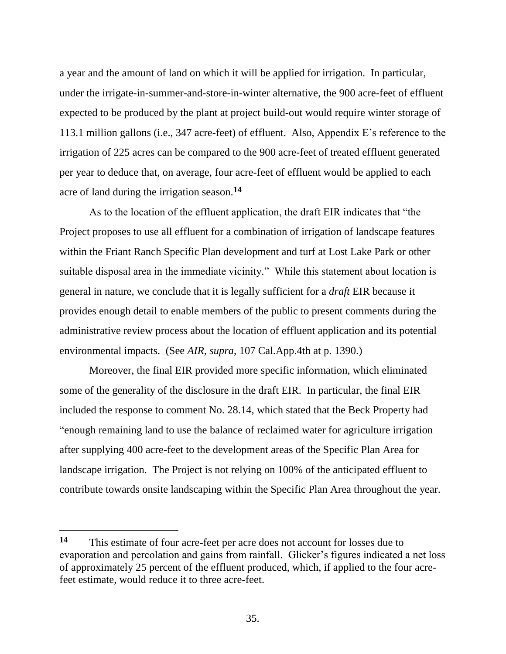a year and the amount of land on which it will be applied for irrigation. In particular, under the irrigate-in-summer-and-store-in-winter alternative, the 900 acre-feet of effluent expected to be produced by the plant at project build-out would require winter storage of 113.1 million gallons (i.e., 347 acre-feet) of effluent. Also, Appendix E's reference to the irrigation of 225 acres can be compared to the 900 acre-feet of treated effluent generated per year to deduce that, on average, four acre-feet of effluent would be applied to each acre of land during the irrigation season.**<sup>14</sup>**

As to the location of the effluent application, the draft EIR indicates that "the Project proposes to use all effluent for a combination of irrigation of landscape features within the Friant Ranch Specific Plan development and turf at Lost Lake Park or other suitable disposal area in the immediate vicinity." While this statement about location is general in nature, we conclude that it is legally sufficient for a *draft* EIR because it provides enough detail to enable members of the public to present comments during the administrative review process about the location of effluent application and its potential environmental impacts. (See *AIR*, *supra*, 107 Cal.App.4th at p. 1390.)

Moreover, the final EIR provided more specific information, which eliminated some of the generality of the disclosure in the draft EIR. In particular, the final EIR included the response to comment No. 28.14, which stated that the Beck Property had "enough remaining land to use the balance of reclaimed water for agriculture irrigation after supplying 400 acre-feet to the development areas of the Specific Plan Area for landscape irrigation. The Project is not relying on 100% of the anticipated effluent to contribute towards onsite landscaping within the Specific Plan Area throughout the year.

**<sup>14</sup>** This estimate of four acre-feet per acre does not account for losses due to evaporation and percolation and gains from rainfall. Glicker's figures indicated a net loss of approximately 25 percent of the effluent produced, which, if applied to the four acrefeet estimate, would reduce it to three acre-feet.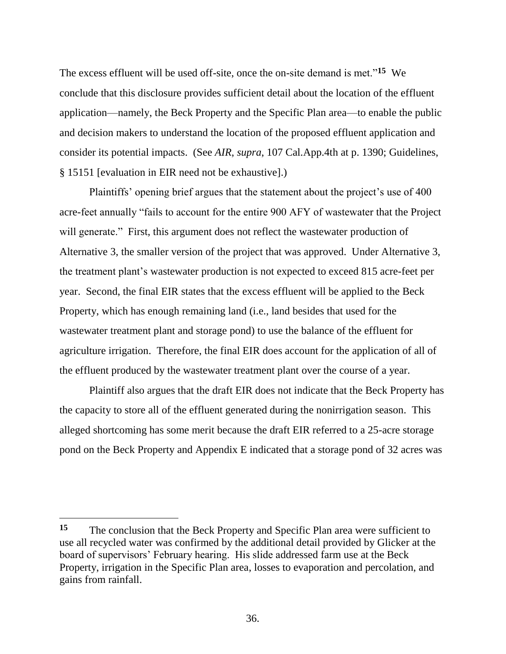The excess effluent will be used off-site, once the on-site demand is met."**<sup>15</sup>** We conclude that this disclosure provides sufficient detail about the location of the effluent application—namely, the Beck Property and the Specific Plan area—to enable the public and decision makers to understand the location of the proposed effluent application and consider its potential impacts. (See *AIR*, *supra*, 107 Cal.App.4th at p. 1390; Guidelines, § 15151 [evaluation in EIR need not be exhaustive].)

Plaintiffs' opening brief argues that the statement about the project's use of 400 acre-feet annually "fails to account for the entire 900 AFY of wastewater that the Project will generate." First, this argument does not reflect the wastewater production of Alternative 3, the smaller version of the project that was approved. Under Alternative 3, the treatment plant's wastewater production is not expected to exceed 815 acre-feet per year. Second, the final EIR states that the excess effluent will be applied to the Beck Property, which has enough remaining land (i.e., land besides that used for the wastewater treatment plant and storage pond) to use the balance of the effluent for agriculture irrigation. Therefore, the final EIR does account for the application of all of the effluent produced by the wastewater treatment plant over the course of a year.

Plaintiff also argues that the draft EIR does not indicate that the Beck Property has the capacity to store all of the effluent generated during the nonirrigation season. This alleged shortcoming has some merit because the draft EIR referred to a 25-acre storage pond on the Beck Property and Appendix E indicated that a storage pond of 32 acres was

**<sup>15</sup>** The conclusion that the Beck Property and Specific Plan area were sufficient to use all recycled water was confirmed by the additional detail provided by Glicker at the board of supervisors' February hearing. His slide addressed farm use at the Beck Property, irrigation in the Specific Plan area, losses to evaporation and percolation, and gains from rainfall.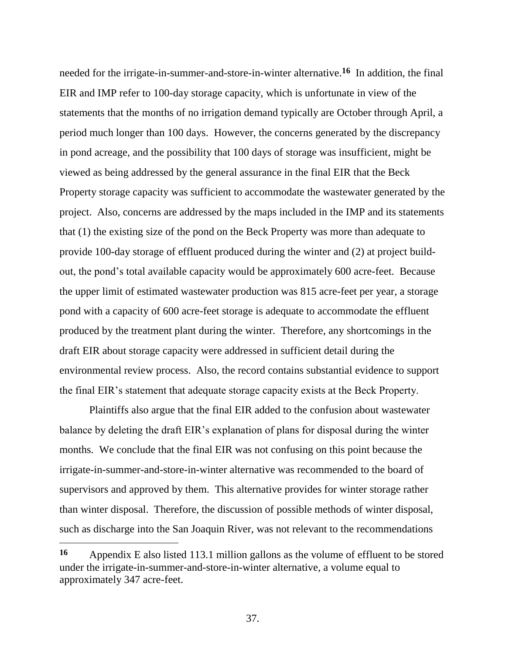needed for the irrigate-in-summer-and-store-in-winter alternative.**<sup>16</sup>** In addition, the final EIR and IMP refer to 100-day storage capacity, which is unfortunate in view of the statements that the months of no irrigation demand typically are October through April, a period much longer than 100 days. However, the concerns generated by the discrepancy in pond acreage, and the possibility that 100 days of storage was insufficient, might be viewed as being addressed by the general assurance in the final EIR that the Beck Property storage capacity was sufficient to accommodate the wastewater generated by the project. Also, concerns are addressed by the maps included in the IMP and its statements that (1) the existing size of the pond on the Beck Property was more than adequate to provide 100-day storage of effluent produced during the winter and (2) at project buildout, the pond's total available capacity would be approximately 600 acre-feet. Because the upper limit of estimated wastewater production was 815 acre-feet per year, a storage pond with a capacity of 600 acre-feet storage is adequate to accommodate the effluent produced by the treatment plant during the winter. Therefore, any shortcomings in the draft EIR about storage capacity were addressed in sufficient detail during the environmental review process. Also, the record contains substantial evidence to support the final EIR's statement that adequate storage capacity exists at the Beck Property.

Plaintiffs also argue that the final EIR added to the confusion about wastewater balance by deleting the draft EIR's explanation of plans for disposal during the winter months. We conclude that the final EIR was not confusing on this point because the irrigate-in-summer-and-store-in-winter alternative was recommended to the board of supervisors and approved by them. This alternative provides for winter storage rather than winter disposal. Therefore, the discussion of possible methods of winter disposal, such as discharge into the San Joaquin River, was not relevant to the recommendations

**<sup>16</sup>** Appendix E also listed 113.1 million gallons as the volume of effluent to be stored under the irrigate-in-summer-and-store-in-winter alternative, a volume equal to approximately 347 acre-feet.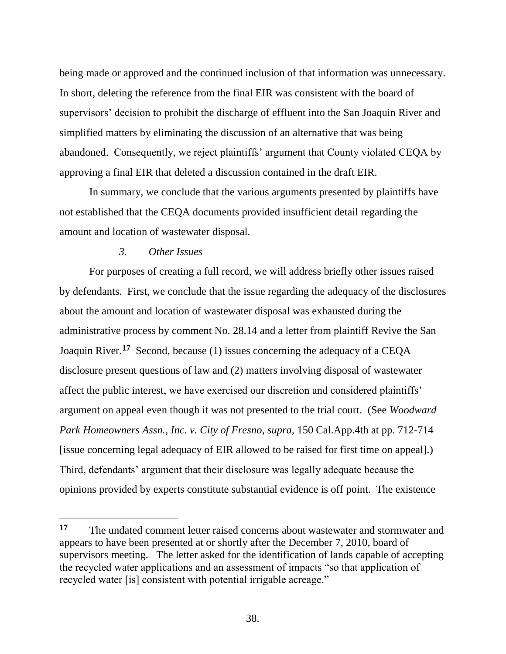being made or approved and the continued inclusion of that information was unnecessary. In short, deleting the reference from the final EIR was consistent with the board of supervisors' decision to prohibit the discharge of effluent into the San Joaquin River and simplified matters by eliminating the discussion of an alternative that was being abandoned. Consequently, we reject plaintiffs' argument that County violated CEQA by approving a final EIR that deleted a discussion contained in the draft EIR.

In summary, we conclude that the various arguments presented by plaintiffs have not established that the CEQA documents provided insufficient detail regarding the amount and location of wastewater disposal.

# *3. Other Issues*

 $\overline{a}$ 

For purposes of creating a full record, we will address briefly other issues raised by defendants. First, we conclude that the issue regarding the adequacy of the disclosures about the amount and location of wastewater disposal was exhausted during the administrative process by comment No. 28.14 and a letter from plaintiff Revive the San Joaquin River.**<sup>17</sup>** Second, because (1) issues concerning the adequacy of a CEQA disclosure present questions of law and (2) matters involving disposal of wastewater affect the public interest, we have exercised our discretion and considered plaintiffs' argument on appeal even though it was not presented to the trial court. (See *Woodward Park Homeowners Assn., Inc. v. City of Fresno, supra,* 150 Cal.App.4th at pp. 712-714 [issue concerning legal adequacy of EIR allowed to be raised for first time on appeal].) Third, defendants' argument that their disclosure was legally adequate because the opinions provided by experts constitute substantial evidence is off point. The existence

**<sup>17</sup>** The undated comment letter raised concerns about wastewater and stormwater and appears to have been presented at or shortly after the December 7, 2010, board of supervisors meeting. The letter asked for the identification of lands capable of accepting the recycled water applications and an assessment of impacts "so that application of recycled water [is] consistent with potential irrigable acreage."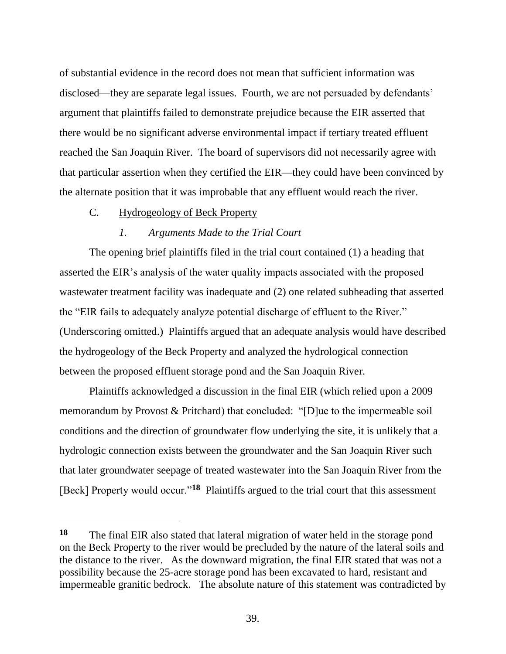of substantial evidence in the record does not mean that sufficient information was disclosed—they are separate legal issues. Fourth, we are not persuaded by defendants' argument that plaintiffs failed to demonstrate prejudice because the EIR asserted that there would be no significant adverse environmental impact if tertiary treated effluent reached the San Joaquin River. The board of supervisors did not necessarily agree with that particular assertion when they certified the EIR—they could have been convinced by the alternate position that it was improbable that any effluent would reach the river.

# C. Hydrogeology of Beck Property

 $\overline{a}$ 

# *1. Arguments Made to the Trial Court*

The opening brief plaintiffs filed in the trial court contained (1) a heading that asserted the EIR's analysis of the water quality impacts associated with the proposed wastewater treatment facility was inadequate and (2) one related subheading that asserted the "EIR fails to adequately analyze potential discharge of effluent to the River." (Underscoring omitted.) Plaintiffs argued that an adequate analysis would have described the hydrogeology of the Beck Property and analyzed the hydrological connection between the proposed effluent storage pond and the San Joaquin River.

Plaintiffs acknowledged a discussion in the final EIR (which relied upon a 2009 memorandum by Provost & Pritchard) that concluded: "[D]ue to the impermeable soil conditions and the direction of groundwater flow underlying the site, it is unlikely that a hydrologic connection exists between the groundwater and the San Joaquin River such that later groundwater seepage of treated wastewater into the San Joaquin River from the [Beck] Property would occur."<sup>18</sup> Plaintiffs argued to the trial court that this assessment

**<sup>18</sup>** The final EIR also stated that lateral migration of water held in the storage pond on the Beck Property to the river would be precluded by the nature of the lateral soils and the distance to the river. As the downward migration, the final EIR stated that was not a possibility because the 25-acre storage pond has been excavated to hard, resistant and impermeable granitic bedrock. The absolute nature of this statement was contradicted by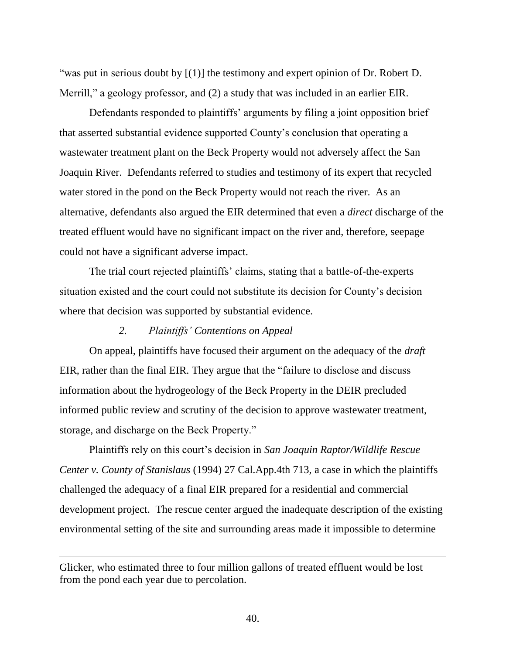"was put in serious doubt by  $[(1)]$  the testimony and expert opinion of Dr. Robert D. Merrill," a geology professor, and (2) a study that was included in an earlier EIR.

Defendants responded to plaintiffs' arguments by filing a joint opposition brief that asserted substantial evidence supported County's conclusion that operating a wastewater treatment plant on the Beck Property would not adversely affect the San Joaquin River. Defendants referred to studies and testimony of its expert that recycled water stored in the pond on the Beck Property would not reach the river. As an alternative, defendants also argued the EIR determined that even a *direct* discharge of the treated effluent would have no significant impact on the river and, therefore, seepage could not have a significant adverse impact.

The trial court rejected plaintiffs' claims, stating that a battle-of-the-experts situation existed and the court could not substitute its decision for County's decision where that decision was supported by substantial evidence.

# *2. Plaintiffs' Contentions on Appeal*

On appeal, plaintiffs have focused their argument on the adequacy of the *draft* EIR, rather than the final EIR. They argue that the "failure to disclose and discuss information about the hydrogeology of the Beck Property in the DEIR precluded informed public review and scrutiny of the decision to approve wastewater treatment, storage, and discharge on the Beck Property."

Plaintiffs rely on this court's decision in *San Joaquin Raptor/Wildlife Rescue Center v. County of Stanislaus* (1994) 27 Cal.App.4th 713, a case in which the plaintiffs challenged the adequacy of a final EIR prepared for a residential and commercial development project. The rescue center argued the inadequate description of the existing environmental setting of the site and surrounding areas made it impossible to determine

Glicker, who estimated three to four million gallons of treated effluent would be lost from the pond each year due to percolation.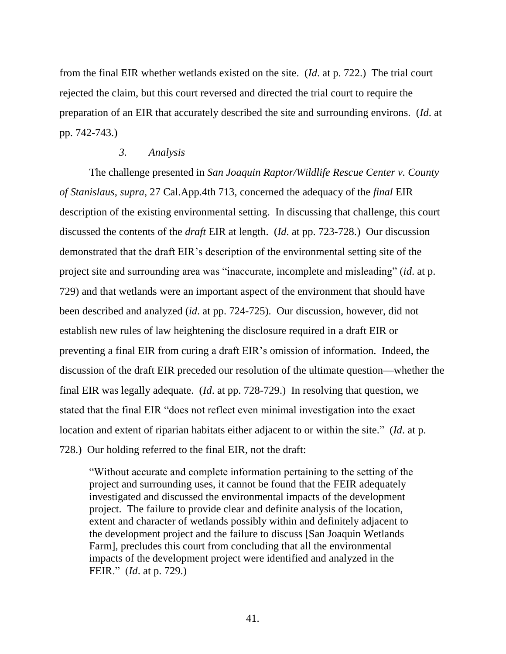from the final EIR whether wetlands existed on the site. (*Id*. at p. 722.) The trial court rejected the claim, but this court reversed and directed the trial court to require the preparation of an EIR that accurately described the site and surrounding environs. (*Id*. at pp. 742-743.)

## *3. Analysis*

The challenge presented in *San Joaquin Raptor/Wildlife Rescue Center v. County of Stanislaus*, *supra*, 27 Cal.App.4th 713, concerned the adequacy of the *final* EIR description of the existing environmental setting. In discussing that challenge, this court discussed the contents of the *draft* EIR at length. (*Id*. at pp. 723-728.) Our discussion demonstrated that the draft EIR's description of the environmental setting site of the project site and surrounding area was "inaccurate, incomplete and misleading" (*id*. at p. 729) and that wetlands were an important aspect of the environment that should have been described and analyzed (*id*. at pp. 724-725). Our discussion, however, did not establish new rules of law heightening the disclosure required in a draft EIR or preventing a final EIR from curing a draft EIR's omission of information. Indeed, the discussion of the draft EIR preceded our resolution of the ultimate question—whether the final EIR was legally adequate. (*Id*. at pp. 728-729.) In resolving that question, we stated that the final EIR "does not reflect even minimal investigation into the exact location and extent of riparian habitats either adjacent to or within the site." (*Id*. at p. 728.) Our holding referred to the final EIR, not the draft:

"Without accurate and complete information pertaining to the setting of the project and surrounding uses, it cannot be found that the FEIR adequately investigated and discussed the environmental impacts of the development project. The failure to provide clear and definite analysis of the location, extent and character of wetlands possibly within and definitely adjacent to the development project and the failure to discuss [San Joaquin Wetlands Farm], precludes this court from concluding that all the environmental impacts of the development project were identified and analyzed in the FEIR." (*Id*. at p. 729.)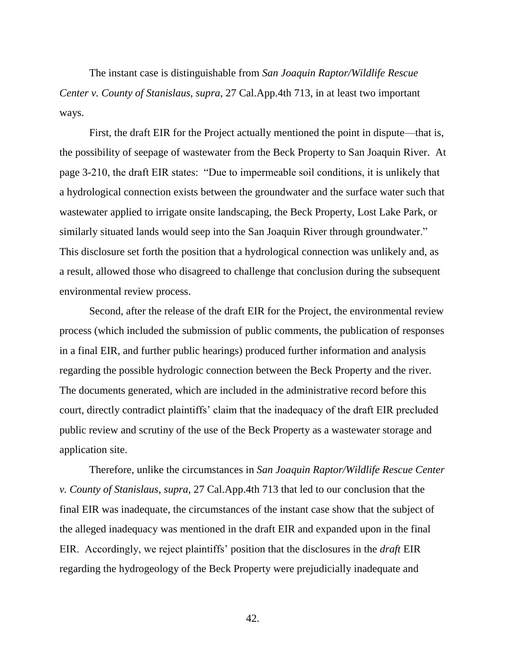The instant case is distinguishable from *San Joaquin Raptor/Wildlife Rescue Center v. County of Stanislaus*, *supra*, 27 Cal.App.4th 713, in at least two important ways.

First, the draft EIR for the Project actually mentioned the point in dispute—that is, the possibility of seepage of wastewater from the Beck Property to San Joaquin River. At page 3-210, the draft EIR states: "Due to impermeable soil conditions, it is unlikely that a hydrological connection exists between the groundwater and the surface water such that wastewater applied to irrigate onsite landscaping, the Beck Property, Lost Lake Park, or similarly situated lands would seep into the San Joaquin River through groundwater." This disclosure set forth the position that a hydrological connection was unlikely and, as a result, allowed those who disagreed to challenge that conclusion during the subsequent environmental review process.

Second, after the release of the draft EIR for the Project, the environmental review process (which included the submission of public comments, the publication of responses in a final EIR, and further public hearings) produced further information and analysis regarding the possible hydrologic connection between the Beck Property and the river. The documents generated, which are included in the administrative record before this court, directly contradict plaintiffs' claim that the inadequacy of the draft EIR precluded public review and scrutiny of the use of the Beck Property as a wastewater storage and application site.

Therefore, unlike the circumstances in *San Joaquin Raptor/Wildlife Rescue Center v. County of Stanislaus*, *supra*, 27 Cal.App.4th 713 that led to our conclusion that the final EIR was inadequate, the circumstances of the instant case show that the subject of the alleged inadequacy was mentioned in the draft EIR and expanded upon in the final EIR. Accordingly, we reject plaintiffs' position that the disclosures in the *draft* EIR regarding the hydrogeology of the Beck Property were prejudicially inadequate and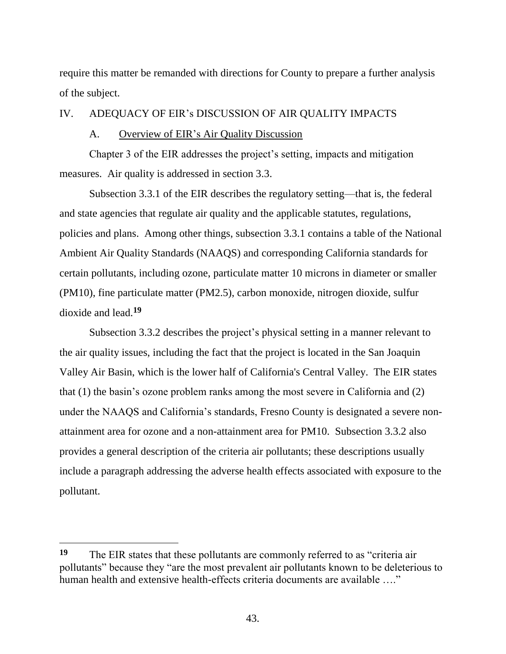require this matter be remanded with directions for County to prepare a further analysis of the subject.

# IV. ADEQUACY OF EIR's DISCUSSION OF AIR QUALITY IMPACTS

## A. Overview of EIR's Air Quality Discussion

Chapter 3 of the EIR addresses the project's setting, impacts and mitigation measures. Air quality is addressed in section 3.3.

Subsection 3.3.1 of the EIR describes the regulatory setting—that is, the federal and state agencies that regulate air quality and the applicable statutes, regulations, policies and plans. Among other things, subsection 3.3.1 contains a table of the National Ambient Air Quality Standards (NAAQS) and corresponding California standards for certain pollutants, including ozone, particulate matter 10 microns in diameter or smaller (PM10), fine particulate matter (PM2.5), carbon monoxide, nitrogen dioxide, sulfur dioxide and lead.**<sup>19</sup>**

Subsection 3.3.2 describes the project's physical setting in a manner relevant to the air quality issues, including the fact that the project is located in the San Joaquin Valley Air Basin, which is the lower half of California's Central Valley. The EIR states that (1) the basin's ozone problem ranks among the most severe in California and (2) under the NAAQS and California's standards, Fresno County is designated a severe nonattainment area for ozone and a non-attainment area for PM10. Subsection 3.3.2 also provides a general description of the criteria air pollutants; these descriptions usually include a paragraph addressing the adverse health effects associated with exposure to the pollutant.

**<sup>19</sup>** The EIR states that these pollutants are commonly referred to as "criteria air pollutants" because they "are the most prevalent air pollutants known to be deleterious to human health and extensive health-effects criteria documents are available ...."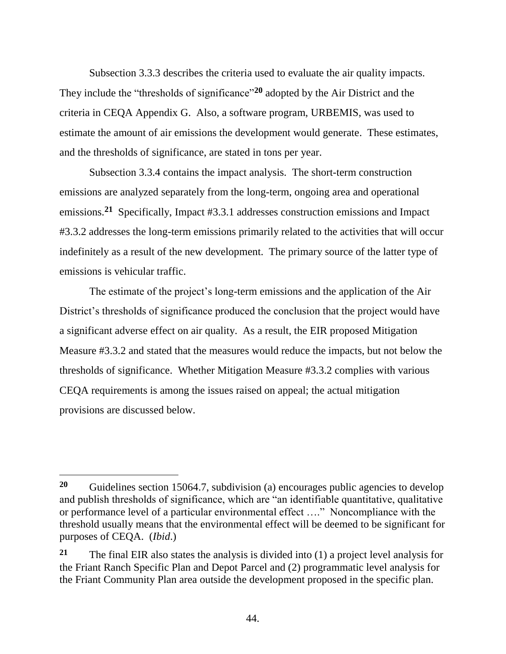Subsection 3.3.3 describes the criteria used to evaluate the air quality impacts. They include the "thresholds of significance"**<sup>20</sup>** adopted by the Air District and the criteria in CEQA Appendix G. Also, a software program, URBEMIS, was used to estimate the amount of air emissions the development would generate. These estimates, and the thresholds of significance, are stated in tons per year.

Subsection 3.3.4 contains the impact analysis. The short-term construction emissions are analyzed separately from the long-term, ongoing area and operational emissions.**<sup>21</sup>** Specifically, Impact #3.3.1 addresses construction emissions and Impact #3.3.2 addresses the long-term emissions primarily related to the activities that will occur indefinitely as a result of the new development. The primary source of the latter type of emissions is vehicular traffic.

The estimate of the project's long-term emissions and the application of the Air District's thresholds of significance produced the conclusion that the project would have a significant adverse effect on air quality. As a result, the EIR proposed Mitigation Measure #3.3.2 and stated that the measures would reduce the impacts, but not below the thresholds of significance. Whether Mitigation Measure #3.3.2 complies with various CEQA requirements is among the issues raised on appeal; the actual mitigation provisions are discussed below.

**<sup>20</sup>** Guidelines section 15064.7, subdivision (a) encourages public agencies to develop and publish thresholds of significance, which are "an identifiable quantitative, qualitative or performance level of a particular environmental effect …." Noncompliance with the threshold usually means that the environmental effect will be deemed to be significant for purposes of CEQA. (*Ibid*.)

**<sup>21</sup>** The final EIR also states the analysis is divided into (1) a project level analysis for the Friant Ranch Specific Plan and Depot Parcel and (2) programmatic level analysis for the Friant Community Plan area outside the development proposed in the specific plan.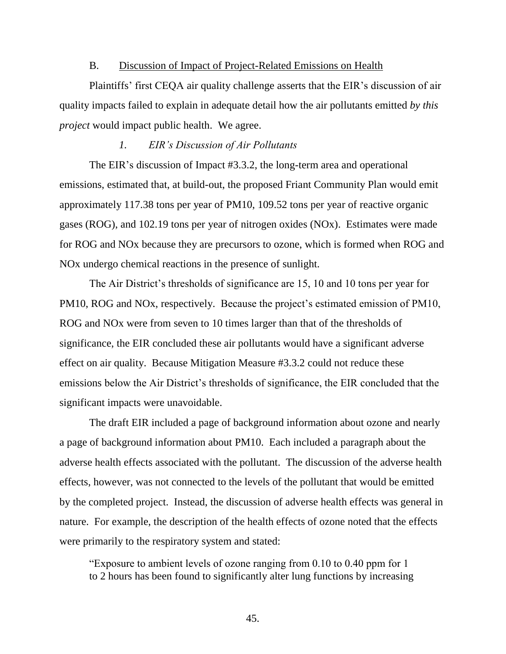#### B. Discussion of Impact of Project-Related Emissions on Health

Plaintiffs' first CEQA air quality challenge asserts that the EIR's discussion of air quality impacts failed to explain in adequate detail how the air pollutants emitted *by this project* would impact public health. We agree.

# *1. EIR's Discussion of Air Pollutants*

The EIR's discussion of Impact #3.3.2, the long-term area and operational emissions, estimated that, at build-out, the proposed Friant Community Plan would emit approximately 117.38 tons per year of PM10, 109.52 tons per year of reactive organic gases (ROG), and 102.19 tons per year of nitrogen oxides (NOx). Estimates were made for ROG and NOx because they are precursors to ozone, which is formed when ROG and NOx undergo chemical reactions in the presence of sunlight.

The Air District's thresholds of significance are 15, 10 and 10 tons per year for PM10, ROG and NOx, respectively. Because the project's estimated emission of PM10, ROG and NOx were from seven to 10 times larger than that of the thresholds of significance, the EIR concluded these air pollutants would have a significant adverse effect on air quality. Because Mitigation Measure #3.3.2 could not reduce these emissions below the Air District's thresholds of significance, the EIR concluded that the significant impacts were unavoidable.

The draft EIR included a page of background information about ozone and nearly a page of background information about PM10. Each included a paragraph about the adverse health effects associated with the pollutant. The discussion of the adverse health effects, however, was not connected to the levels of the pollutant that would be emitted by the completed project. Instead, the discussion of adverse health effects was general in nature. For example, the description of the health effects of ozone noted that the effects were primarily to the respiratory system and stated:

"Exposure to ambient levels of ozone ranging from 0.10 to 0.40 ppm for 1 to 2 hours has been found to significantly alter lung functions by increasing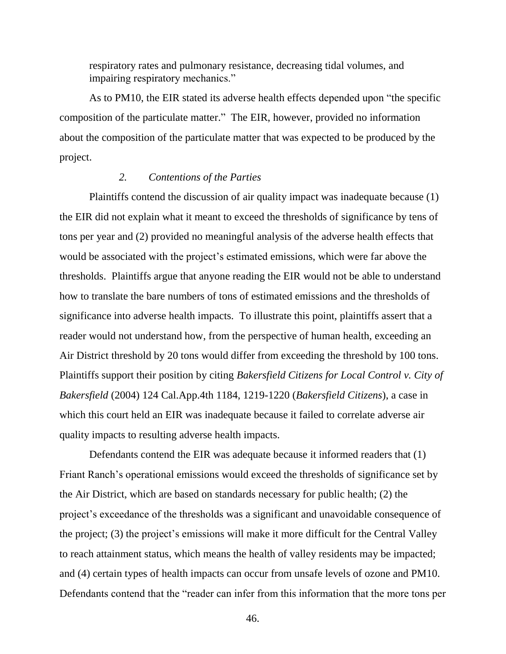respiratory rates and pulmonary resistance, decreasing tidal volumes, and impairing respiratory mechanics."

As to PM10, the EIR stated its adverse health effects depended upon "the specific composition of the particulate matter." The EIR, however, provided no information about the composition of the particulate matter that was expected to be produced by the project.

# *2. Contentions of the Parties*

Plaintiffs contend the discussion of air quality impact was inadequate because (1) the EIR did not explain what it meant to exceed the thresholds of significance by tens of tons per year and (2) provided no meaningful analysis of the adverse health effects that would be associated with the project's estimated emissions, which were far above the thresholds. Plaintiffs argue that anyone reading the EIR would not be able to understand how to translate the bare numbers of tons of estimated emissions and the thresholds of significance into adverse health impacts. To illustrate this point, plaintiffs assert that a reader would not understand how, from the perspective of human health, exceeding an Air District threshold by 20 tons would differ from exceeding the threshold by 100 tons. Plaintiffs support their position by citing *Bakersfield Citizens for Local Control v. City of Bakersfield* (2004) 124 Cal.App.4th 1184, 1219-1220 (*Bakersfield Citizens*), a case in which this court held an EIR was inadequate because it failed to correlate adverse air quality impacts to resulting adverse health impacts.

Defendants contend the EIR was adequate because it informed readers that (1) Friant Ranch's operational emissions would exceed the thresholds of significance set by the Air District, which are based on standards necessary for public health; (2) the project's exceedance of the thresholds was a significant and unavoidable consequence of the project; (3) the project's emissions will make it more difficult for the Central Valley to reach attainment status, which means the health of valley residents may be impacted; and (4) certain types of health impacts can occur from unsafe levels of ozone and PM10. Defendants contend that the "reader can infer from this information that the more tons per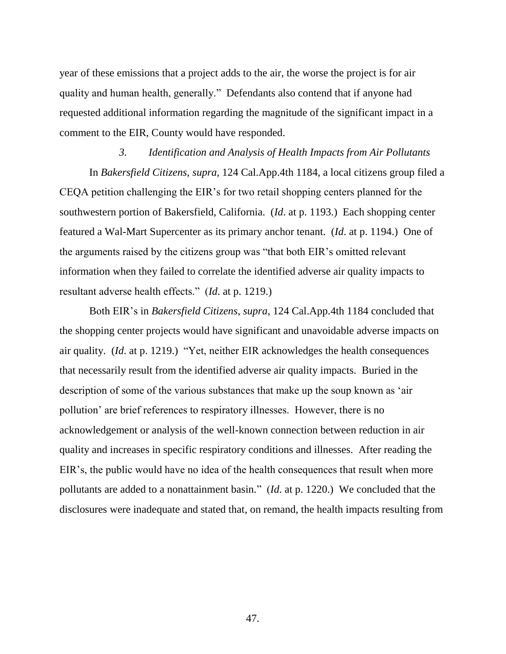year of these emissions that a project adds to the air, the worse the project is for air quality and human health, generally." Defendants also contend that if anyone had requested additional information regarding the magnitude of the significant impact in a comment to the EIR, County would have responded.

*3. Identification and Analysis of Health Impacts from Air Pollutants* In *Bakersfield Citizens*, *supra*, 124 Cal.App.4th 1184, a local citizens group filed a CEQA petition challenging the EIR's for two retail shopping centers planned for the southwestern portion of Bakersfield, California. (*Id*. at p. 1193.) Each shopping center featured a Wal-Mart Supercenter as its primary anchor tenant. (*Id*. at p. 1194.) One of the arguments raised by the citizens group was "that both EIR's omitted relevant information when they failed to correlate the identified adverse air quality impacts to resultant adverse health effects." (*Id*. at p. 1219.)

Both EIR's in *Bakersfield Citizens*, *supra*, 124 Cal.App.4th 1184 concluded that the shopping center projects would have significant and unavoidable adverse impacts on air quality. (*Id*. at p. 1219.) "Yet, neither EIR acknowledges the health consequences that necessarily result from the identified adverse air quality impacts. Buried in the description of some of the various substances that make up the soup known as 'air pollution' are brief references to respiratory illnesses. However, there is no acknowledgement or analysis of the well-known connection between reduction in air quality and increases in specific respiratory conditions and illnesses. After reading the EIR's, the public would have no idea of the health consequences that result when more pollutants are added to a nonattainment basin." (*Id*. at p. 1220.) We concluded that the disclosures were inadequate and stated that, on remand, the health impacts resulting from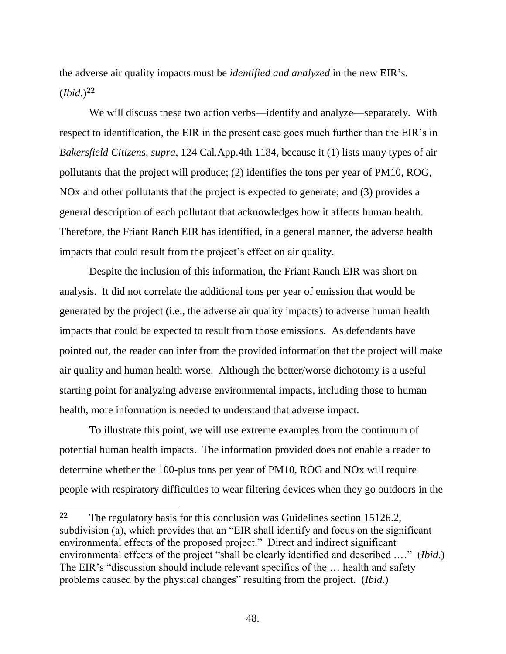the adverse air quality impacts must be *identified and analyzed* in the new EIR's. (*Ibid*.)**<sup>22</sup>**

We will discuss these two action verbs—identify and analyze—separately. With respect to identification, the EIR in the present case goes much further than the EIR's in *Bakersfield Citizens*, *supra*, 124 Cal.App.4th 1184, because it (1) lists many types of air pollutants that the project will produce; (2) identifies the tons per year of PM10, ROG, NOx and other pollutants that the project is expected to generate; and (3) provides a general description of each pollutant that acknowledges how it affects human health. Therefore, the Friant Ranch EIR has identified, in a general manner, the adverse health impacts that could result from the project's effect on air quality.

Despite the inclusion of this information, the Friant Ranch EIR was short on analysis. It did not correlate the additional tons per year of emission that would be generated by the project (i.e., the adverse air quality impacts) to adverse human health impacts that could be expected to result from those emissions. As defendants have pointed out, the reader can infer from the provided information that the project will make air quality and human health worse. Although the better/worse dichotomy is a useful starting point for analyzing adverse environmental impacts, including those to human health, more information is needed to understand that adverse impact.

To illustrate this point, we will use extreme examples from the continuum of potential human health impacts. The information provided does not enable a reader to determine whether the 100-plus tons per year of PM10, ROG and NOx will require people with respiratory difficulties to wear filtering devices when they go outdoors in the

**<sup>22</sup>** The regulatory basis for this conclusion was Guidelines section 15126.2, subdivision (a), which provides that an "EIR shall identify and focus on the significant environmental effects of the proposed project." Direct and indirect significant environmental effects of the project "shall be clearly identified and described .…" (*Ibid*.) The EIR's "discussion should include relevant specifics of the … health and safety problems caused by the physical changes" resulting from the project. (*Ibid*.)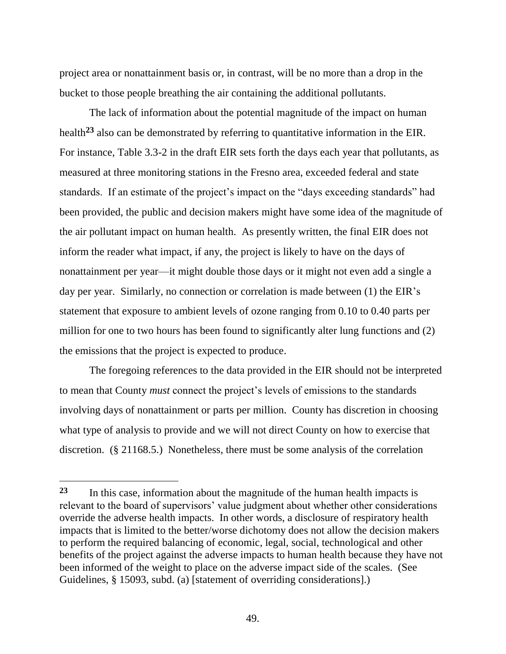project area or nonattainment basis or, in contrast, will be no more than a drop in the bucket to those people breathing the air containing the additional pollutants.

The lack of information about the potential magnitude of the impact on human health**<sup>23</sup>** also can be demonstrated by referring to quantitative information in the EIR. For instance, Table 3.3-2 in the draft EIR sets forth the days each year that pollutants, as measured at three monitoring stations in the Fresno area, exceeded federal and state standards. If an estimate of the project's impact on the "days exceeding standards" had been provided, the public and decision makers might have some idea of the magnitude of the air pollutant impact on human health. As presently written, the final EIR does not inform the reader what impact, if any, the project is likely to have on the days of nonattainment per year—it might double those days or it might not even add a single a day per year. Similarly, no connection or correlation is made between (1) the EIR's statement that exposure to ambient levels of ozone ranging from 0.10 to 0.40 parts per million for one to two hours has been found to significantly alter lung functions and (2) the emissions that the project is expected to produce.

The foregoing references to the data provided in the EIR should not be interpreted to mean that County *must* connect the project's levels of emissions to the standards involving days of nonattainment or parts per million. County has discretion in choosing what type of analysis to provide and we will not direct County on how to exercise that discretion. (§ 21168.5.) Nonetheless, there must be some analysis of the correlation

**<sup>23</sup>** In this case, information about the magnitude of the human health impacts is relevant to the board of supervisors' value judgment about whether other considerations override the adverse health impacts. In other words, a disclosure of respiratory health impacts that is limited to the better/worse dichotomy does not allow the decision makers to perform the required balancing of economic, legal, social, technological and other benefits of the project against the adverse impacts to human health because they have not been informed of the weight to place on the adverse impact side of the scales. (See Guidelines, § 15093, subd. (a) [statement of overriding considerations].)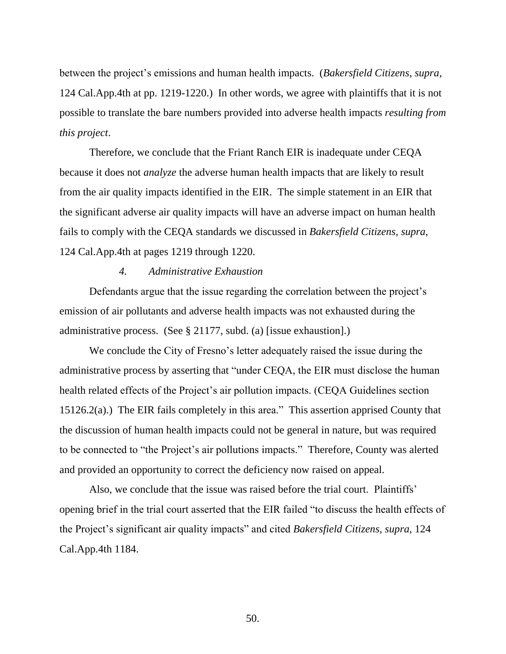between the project's emissions and human health impacts. (*Bakersfield Citizens*, *supra*, 124 Cal.App.4th at pp. 1219-1220.) In other words, we agree with plaintiffs that it is not possible to translate the bare numbers provided into adverse health impacts *resulting from this project*.

Therefore, we conclude that the Friant Ranch EIR is inadequate under CEQA because it does not *analyze* the adverse human health impacts that are likely to result from the air quality impacts identified in the EIR. The simple statement in an EIR that the significant adverse air quality impacts will have an adverse impact on human health fails to comply with the CEQA standards we discussed in *Bakersfield Citizens*, *supra*, 124 Cal.App.4th at pages 1219 through 1220.

#### *4. Administrative Exhaustion*

Defendants argue that the issue regarding the correlation between the project's emission of air pollutants and adverse health impacts was not exhausted during the administrative process. (See § 21177, subd. (a) [issue exhaustion].)

We conclude the City of Fresno's letter adequately raised the issue during the administrative process by asserting that "under CEQA, the EIR must disclose the human health related effects of the Project's air pollution impacts. (CEQA Guidelines section 15126.2(a).) The EIR fails completely in this area." This assertion apprised County that the discussion of human health impacts could not be general in nature, but was required to be connected to "the Project's air pollutions impacts." Therefore, County was alerted and provided an opportunity to correct the deficiency now raised on appeal.

Also, we conclude that the issue was raised before the trial court. Plaintiffs' opening brief in the trial court asserted that the EIR failed "to discuss the health effects of the Project's significant air quality impacts" and cited *Bakersfield Citizens*, *supra*, 124 Cal.App.4th 1184.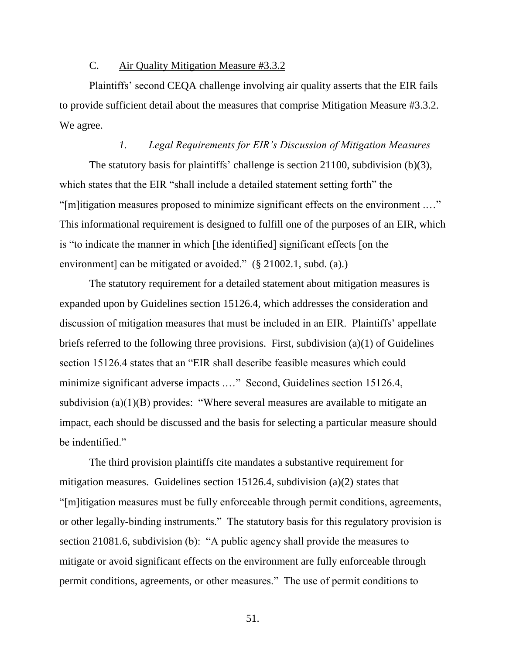#### C. Air Quality Mitigation Measure #3.3.2

Plaintiffs' second CEQA challenge involving air quality asserts that the EIR fails to provide sufficient detail about the measures that comprise Mitigation Measure #3.3.2. We agree.

# *1. Legal Requirements for EIR's Discussion of Mitigation Measures*

The statutory basis for plaintiffs' challenge is section 21100, subdivision (b)(3), which states that the EIR "shall include a detailed statement setting forth" the "[m]itigation measures proposed to minimize significant effects on the environment .…" This informational requirement is designed to fulfill one of the purposes of an EIR, which is "to indicate the manner in which [the identified] significant effects [on the environment] can be mitigated or avoided." (§ 21002.1, subd. (a).)

The statutory requirement for a detailed statement about mitigation measures is expanded upon by Guidelines section 15126.4, which addresses the consideration and discussion of mitigation measures that must be included in an EIR. Plaintiffs' appellate briefs referred to the following three provisions. First, subdivision (a)(1) of Guidelines section 15126.4 states that an "EIR shall describe feasible measures which could minimize significant adverse impacts .…" Second, Guidelines section 15126.4, subdivision (a) $(1)(B)$  provides: "Where several measures are available to mitigate an impact, each should be discussed and the basis for selecting a particular measure should be indentified."

The third provision plaintiffs cite mandates a substantive requirement for mitigation measures. Guidelines section 15126.4, subdivision (a)(2) states that "[m]itigation measures must be fully enforceable through permit conditions, agreements, or other legally-binding instruments." The statutory basis for this regulatory provision is section 21081.6, subdivision (b): "A public agency shall provide the measures to mitigate or avoid significant effects on the environment are fully enforceable through permit conditions, agreements, or other measures." The use of permit conditions to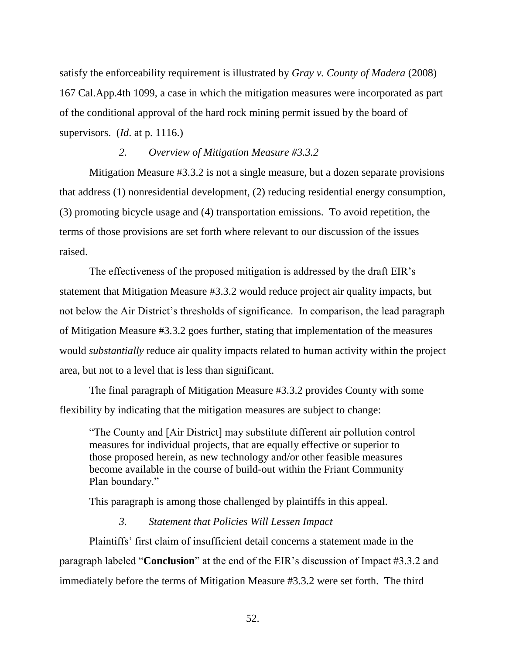satisfy the enforceability requirement is illustrated by *Gray v. County of Madera* (2008) 167 Cal.App.4th 1099, a case in which the mitigation measures were incorporated as part of the conditional approval of the hard rock mining permit issued by the board of supervisors. (*Id*. at p. 1116.)

# *2. Overview of Mitigation Measure #3.3.2*

Mitigation Measure #3.3.2 is not a single measure, but a dozen separate provisions that address (1) nonresidential development, (2) reducing residential energy consumption, (3) promoting bicycle usage and (4) transportation emissions. To avoid repetition, the terms of those provisions are set forth where relevant to our discussion of the issues raised.

The effectiveness of the proposed mitigation is addressed by the draft EIR's statement that Mitigation Measure #3.3.2 would reduce project air quality impacts, but not below the Air District's thresholds of significance. In comparison, the lead paragraph of Mitigation Measure #3.3.2 goes further, stating that implementation of the measures would *substantially* reduce air quality impacts related to human activity within the project area, but not to a level that is less than significant.

The final paragraph of Mitigation Measure #3.3.2 provides County with some flexibility by indicating that the mitigation measures are subject to change:

"The County and [Air District] may substitute different air pollution control measures for individual projects, that are equally effective or superior to those proposed herein, as new technology and/or other feasible measures become available in the course of build-out within the Friant Community Plan boundary."

This paragraph is among those challenged by plaintiffs in this appeal.

# *3. Statement that Policies Will Lessen Impact*

Plaintiffs' first claim of insufficient detail concerns a statement made in the paragraph labeled "**Conclusion**" at the end of the EIR's discussion of Impact #3.3.2 and immediately before the terms of Mitigation Measure #3.3.2 were set forth. The third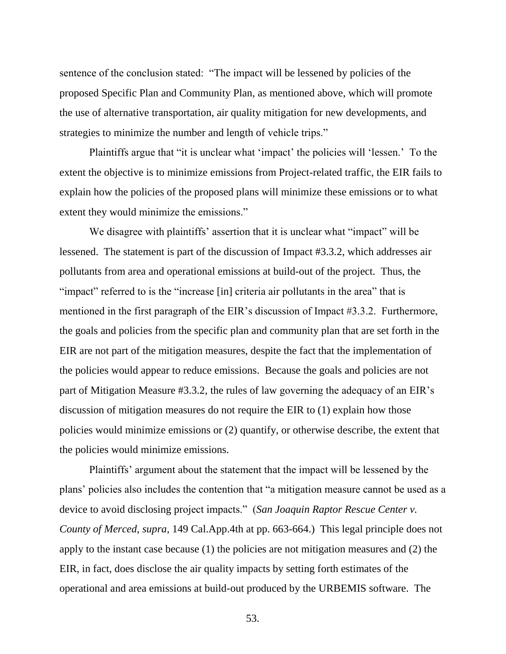sentence of the conclusion stated: "The impact will be lessened by policies of the proposed Specific Plan and Community Plan, as mentioned above, which will promote the use of alternative transportation, air quality mitigation for new developments, and strategies to minimize the number and length of vehicle trips."

Plaintiffs argue that "it is unclear what 'impact' the policies will 'lessen.' To the extent the objective is to minimize emissions from Project-related traffic, the EIR fails to explain how the policies of the proposed plans will minimize these emissions or to what extent they would minimize the emissions."

We disagree with plaintiffs' assertion that it is unclear what "impact" will be lessened. The statement is part of the discussion of Impact #3.3.2, which addresses air pollutants from area and operational emissions at build-out of the project. Thus, the "impact" referred to is the "increase [in] criteria air pollutants in the area" that is mentioned in the first paragraph of the EIR's discussion of Impact #3.3.2. Furthermore, the goals and policies from the specific plan and community plan that are set forth in the EIR are not part of the mitigation measures, despite the fact that the implementation of the policies would appear to reduce emissions. Because the goals and policies are not part of Mitigation Measure #3.3.2, the rules of law governing the adequacy of an EIR's discussion of mitigation measures do not require the EIR to (1) explain how those policies would minimize emissions or (2) quantify, or otherwise describe, the extent that the policies would minimize emissions.

Plaintiffs' argument about the statement that the impact will be lessened by the plans' policies also includes the contention that "a mitigation measure cannot be used as a device to avoid disclosing project impacts." (*San Joaquin Raptor Rescue Center v. County of Merced*, *supra*, 149 Cal.App.4th at pp. 663-664.) This legal principle does not apply to the instant case because (1) the policies are not mitigation measures and (2) the EIR, in fact, does disclose the air quality impacts by setting forth estimates of the operational and area emissions at build-out produced by the URBEMIS software. The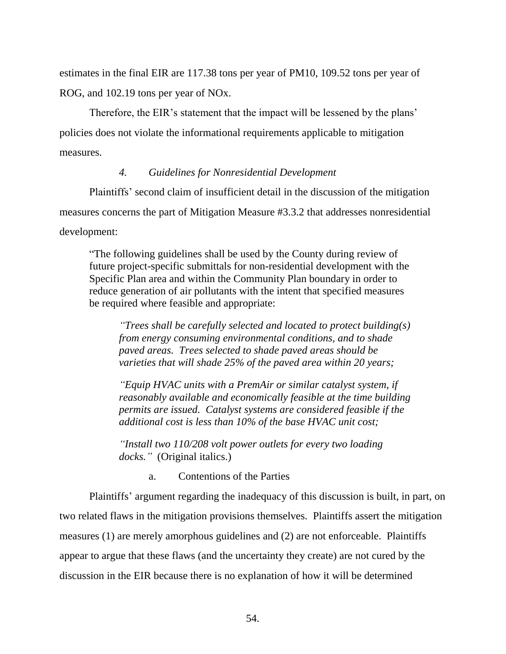estimates in the final EIR are 117.38 tons per year of PM10, 109.52 tons per year of ROG, and 102.19 tons per year of NOx.

Therefore, the EIR's statement that the impact will be lessened by the plans' policies does not violate the informational requirements applicable to mitigation measures.

# *4. Guidelines for Nonresidential Development*

Plaintiffs' second claim of insufficient detail in the discussion of the mitigation measures concerns the part of Mitigation Measure #3.3.2 that addresses nonresidential development:

"The following guidelines shall be used by the County during review of future project-specific submittals for non-residential development with the Specific Plan area and within the Community Plan boundary in order to reduce generation of air pollutants with the intent that specified measures be required where feasible and appropriate:

*"Trees shall be carefully selected and located to protect building(s) from energy consuming environmental conditions, and to shade paved areas. Trees selected to shade paved areas should be varieties that will shade 25% of the paved area within 20 years;* 

*"Equip HVAC units with a PremAir or similar catalyst system, if reasonably available and economically feasible at the time building permits are issued. Catalyst systems are considered feasible if the additional cost is less than 10% of the base HVAC unit cost;* 

*"Install two 110/208 volt power outlets for every two loading docks."* (Original italics.)

a. Contentions of the Parties

Plaintiffs' argument regarding the inadequacy of this discussion is built, in part, on two related flaws in the mitigation provisions themselves. Plaintiffs assert the mitigation measures (1) are merely amorphous guidelines and (2) are not enforceable. Plaintiffs appear to argue that these flaws (and the uncertainty they create) are not cured by the discussion in the EIR because there is no explanation of how it will be determined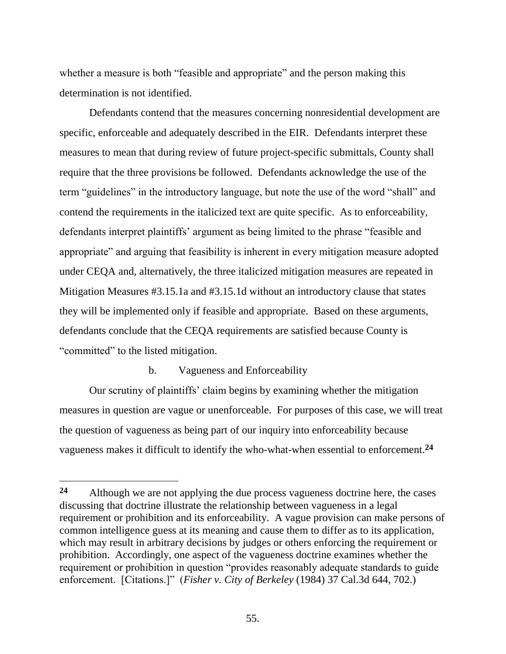whether a measure is both "feasible and appropriate" and the person making this determination is not identified.

Defendants contend that the measures concerning nonresidential development are specific, enforceable and adequately described in the EIR. Defendants interpret these measures to mean that during review of future project-specific submittals, County shall require that the three provisions be followed. Defendants acknowledge the use of the term "guidelines" in the introductory language, but note the use of the word "shall" and contend the requirements in the italicized text are quite specific. As to enforceability, defendants interpret plaintiffs' argument as being limited to the phrase "feasible and appropriate" and arguing that feasibility is inherent in every mitigation measure adopted under CEQA and, alternatively, the three italicized mitigation measures are repeated in Mitigation Measures #3.15.1a and #3.15.1d without an introductory clause that states they will be implemented only if feasible and appropriate. Based on these arguments, defendants conclude that the CEQA requirements are satisfied because County is "committed" to the listed mitigation.

# b. Vagueness and Enforceability

 $\overline{a}$ 

Our scrutiny of plaintiffs' claim begins by examining whether the mitigation measures in question are vague or unenforceable. For purposes of this case, we will treat the question of vagueness as being part of our inquiry into enforceability because vagueness makes it difficult to identify the who-what-when essential to enforcement. **24**

**<sup>24</sup>** Although we are not applying the due process vagueness doctrine here, the cases discussing that doctrine illustrate the relationship between vagueness in a legal requirement or prohibition and its enforceability. A vague provision can make persons of common intelligence guess at its meaning and cause them to differ as to its application, which may result in arbitrary decisions by judges or others enforcing the requirement or prohibition. Accordingly, one aspect of the vagueness doctrine examines whether the requirement or prohibition in question "provides reasonably adequate standards to guide enforcement. [Citations.]" (*Fisher v. City of Berkeley* (1984) 37 Cal.3d 644, 702.)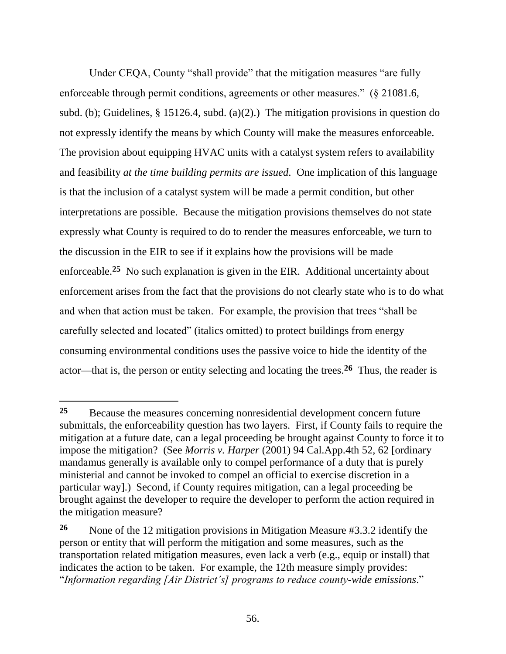Under CEQA, County "shall provide" that the mitigation measures "are fully enforceable through permit conditions, agreements or other measures." (§ 21081.6, subd. (b); Guidelines, § 15126.4, subd. (a)(2).) The mitigation provisions in question do not expressly identify the means by which County will make the measures enforceable. The provision about equipping HVAC units with a catalyst system refers to availability and feasibility *at the time building permits are issued*. One implication of this language is that the inclusion of a catalyst system will be made a permit condition, but other interpretations are possible. Because the mitigation provisions themselves do not state expressly what County is required to do to render the measures enforceable, we turn to the discussion in the EIR to see if it explains how the provisions will be made enforceable.<sup>25</sup> No such explanation is given in the EIR. Additional uncertainty about enforcement arises from the fact that the provisions do not clearly state who is to do what and when that action must be taken. For example, the provision that trees "shall be carefully selected and located" (italics omitted) to protect buildings from energy consuming environmental conditions uses the passive voice to hide the identity of the actor—that is, the person or entity selecting and locating the trees. **26** Thus, the reader is

**<sup>25</sup>** Because the measures concerning nonresidential development concern future submittals, the enforceability question has two layers. First, if County fails to require the mitigation at a future date, can a legal proceeding be brought against County to force it to impose the mitigation? (See *Morris v. Harper* (2001) 94 Cal.App.4th 52, 62 [ordinary mandamus generally is available only to compel performance of a duty that is purely ministerial and cannot be invoked to compel an official to exercise discretion in a particular way].) Second, if County requires mitigation, can a legal proceeding be brought against the developer to require the developer to perform the action required in the mitigation measure?

**<sup>26</sup>** None of the 12 mitigation provisions in Mitigation Measure #3.3.2 identify the person or entity that will perform the mitigation and some measures, such as the transportation related mitigation measures, even lack a verb (e.g., equip or install) that indicates the action to be taken. For example, the 12th measure simply provides: "*Information regarding [Air District's] programs to reduce county-wide emissions*."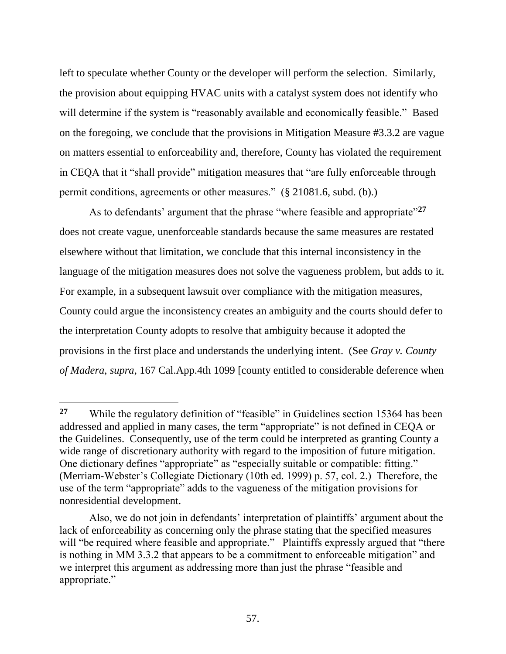left to speculate whether County or the developer will perform the selection. Similarly, the provision about equipping HVAC units with a catalyst system does not identify who will determine if the system is "reasonably available and economically feasible." Based on the foregoing, we conclude that the provisions in Mitigation Measure #3.3.2 are vague on matters essential to enforceability and, therefore, County has violated the requirement in CEQA that it "shall provide" mitigation measures that "are fully enforceable through permit conditions, agreements or other measures." (§ 21081.6, subd. (b).)

As to defendants' argument that the phrase "where feasible and appropriate"**<sup>27</sup>** does not create vague, unenforceable standards because the same measures are restated elsewhere without that limitation, we conclude that this internal inconsistency in the language of the mitigation measures does not solve the vagueness problem, but adds to it. For example, in a subsequent lawsuit over compliance with the mitigation measures, County could argue the inconsistency creates an ambiguity and the courts should defer to the interpretation County adopts to resolve that ambiguity because it adopted the provisions in the first place and understands the underlying intent. (See *Gray v. County of Madera*, *supra*, 167 Cal.App.4th 1099 [county entitled to considerable deference when

**<sup>27</sup>** While the regulatory definition of "feasible" in Guidelines section 15364 has been addressed and applied in many cases, the term "appropriate" is not defined in CEQA or the Guidelines. Consequently, use of the term could be interpreted as granting County a wide range of discretionary authority with regard to the imposition of future mitigation. One dictionary defines "appropriate" as "especially suitable or compatible: fitting." (Merriam-Webster's Collegiate Dictionary (10th ed. 1999) p. 57, col. 2.) Therefore, the use of the term "appropriate" adds to the vagueness of the mitigation provisions for nonresidential development.

Also, we do not join in defendants' interpretation of plaintiffs' argument about the lack of enforceability as concerning only the phrase stating that the specified measures will "be required where feasible and appropriate." Plaintiffs expressly argued that "there is nothing in MM 3.3.2 that appears to be a commitment to enforceable mitigation" and we interpret this argument as addressing more than just the phrase "feasible and appropriate."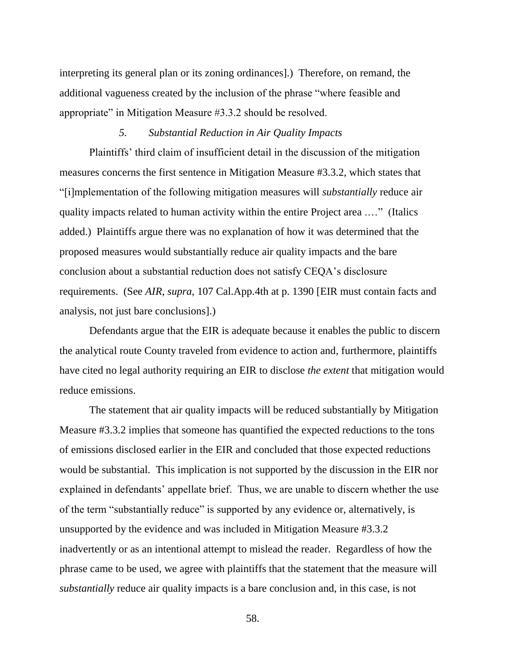interpreting its general plan or its zoning ordinances].) Therefore, on remand, the additional vagueness created by the inclusion of the phrase "where feasible and appropriate" in Mitigation Measure #3.3.2 should be resolved.

# *5. Substantial Reduction in Air Quality Impacts*

Plaintiffs' third claim of insufficient detail in the discussion of the mitigation measures concerns the first sentence in Mitigation Measure #3.3.2, which states that "[i]mplementation of the following mitigation measures will *substantially* reduce air quality impacts related to human activity within the entire Project area .…" (Italics added.) Plaintiffs argue there was no explanation of how it was determined that the proposed measures would substantially reduce air quality impacts and the bare conclusion about a substantial reduction does not satisfy CEQA's disclosure requirements. (See *AIR*, *supra*, 107 Cal.App.4th at p. 1390 [EIR must contain facts and analysis, not just bare conclusions].)

Defendants argue that the EIR is adequate because it enables the public to discern the analytical route County traveled from evidence to action and, furthermore, plaintiffs have cited no legal authority requiring an EIR to disclose *the extent* that mitigation would reduce emissions.

The statement that air quality impacts will be reduced substantially by Mitigation Measure #3.3.2 implies that someone has quantified the expected reductions to the tons of emissions disclosed earlier in the EIR and concluded that those expected reductions would be substantial. This implication is not supported by the discussion in the EIR nor explained in defendants' appellate brief. Thus, we are unable to discern whether the use of the term "substantially reduce" is supported by any evidence or, alternatively, is unsupported by the evidence and was included in Mitigation Measure #3.3.2 inadvertently or as an intentional attempt to mislead the reader. Regardless of how the phrase came to be used, we agree with plaintiffs that the statement that the measure will *substantially* reduce air quality impacts is a bare conclusion and, in this case, is not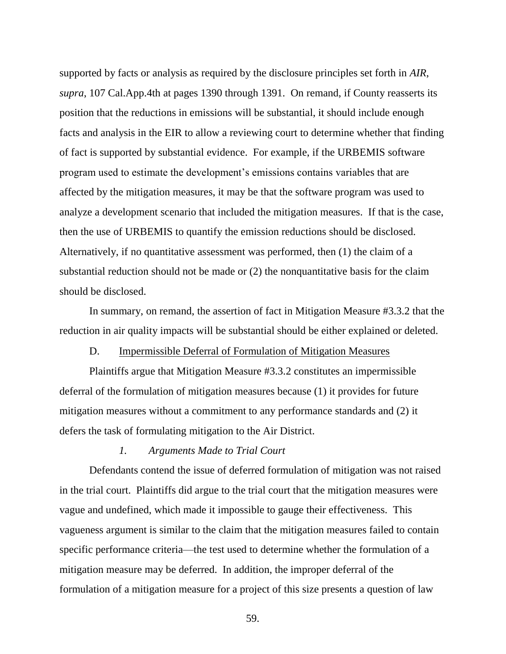supported by facts or analysis as required by the disclosure principles set forth in *AIR*, *supra*, 107 Cal.App.4th at pages 1390 through 1391. On remand, if County reasserts its position that the reductions in emissions will be substantial, it should include enough facts and analysis in the EIR to allow a reviewing court to determine whether that finding of fact is supported by substantial evidence. For example, if the URBEMIS software program used to estimate the development's emissions contains variables that are affected by the mitigation measures, it may be that the software program was used to analyze a development scenario that included the mitigation measures. If that is the case, then the use of URBEMIS to quantify the emission reductions should be disclosed. Alternatively, if no quantitative assessment was performed, then (1) the claim of a substantial reduction should not be made or (2) the nonquantitative basis for the claim should be disclosed.

In summary, on remand, the assertion of fact in Mitigation Measure #3.3.2 that the reduction in air quality impacts will be substantial should be either explained or deleted.

#### D. Impermissible Deferral of Formulation of Mitigation Measures

Plaintiffs argue that Mitigation Measure #3.3.2 constitutes an impermissible deferral of the formulation of mitigation measures because (1) it provides for future mitigation measures without a commitment to any performance standards and (2) it defers the task of formulating mitigation to the Air District.

# *1. Arguments Made to Trial Court*

Defendants contend the issue of deferred formulation of mitigation was not raised in the trial court. Plaintiffs did argue to the trial court that the mitigation measures were vague and undefined, which made it impossible to gauge their effectiveness. This vagueness argument is similar to the claim that the mitigation measures failed to contain specific performance criteria—the test used to determine whether the formulation of a mitigation measure may be deferred. In addition, the improper deferral of the formulation of a mitigation measure for a project of this size presents a question of law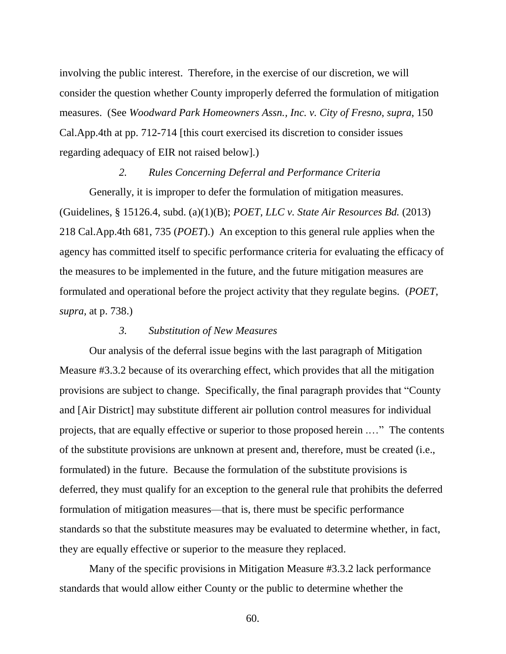involving the public interest. Therefore, in the exercise of our discretion, we will consider the question whether County improperly deferred the formulation of mitigation measures. (See *Woodward Park Homeowners Assn., Inc. v. City of Fresno*, *supra*, 150 Cal.App.4th at pp. 712-714 [this court exercised its discretion to consider issues regarding adequacy of EIR not raised below].)

#### *2. Rules Concerning Deferral and Performance Criteria*

Generally, it is improper to defer the formulation of mitigation measures. (Guidelines, § 15126.4, subd. (a)(1)(B); *POET, LLC v. State Air Resources Bd.* (2013) 218 Cal.App.4th 681, 735 (*POET*).) An exception to this general rule applies when the agency has committed itself to specific performance criteria for evaluating the efficacy of the measures to be implemented in the future, and the future mitigation measures are formulated and operational before the project activity that they regulate begins. (*POET, supra,* at p. 738.)

#### *3. Substitution of New Measures*

Our analysis of the deferral issue begins with the last paragraph of Mitigation Measure #3.3.2 because of its overarching effect, which provides that all the mitigation provisions are subject to change. Specifically, the final paragraph provides that "County and [Air District] may substitute different air pollution control measures for individual projects, that are equally effective or superior to those proposed herein .…" The contents of the substitute provisions are unknown at present and, therefore, must be created (i.e., formulated) in the future. Because the formulation of the substitute provisions is deferred, they must qualify for an exception to the general rule that prohibits the deferred formulation of mitigation measures—that is, there must be specific performance standards so that the substitute measures may be evaluated to determine whether, in fact, they are equally effective or superior to the measure they replaced.

Many of the specific provisions in Mitigation Measure #3.3.2 lack performance standards that would allow either County or the public to determine whether the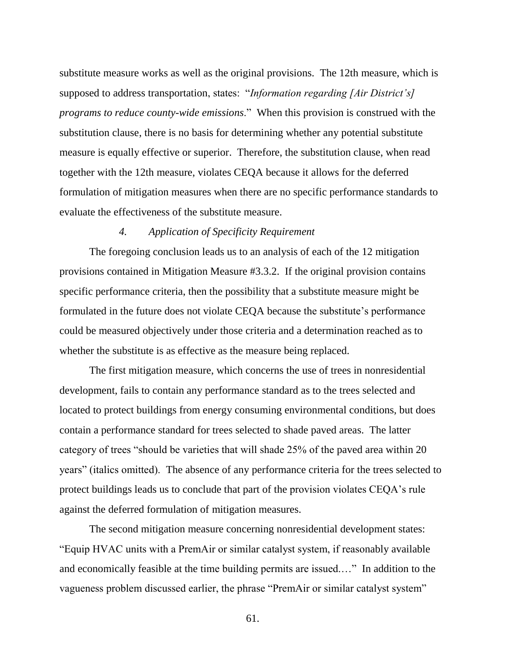substitute measure works as well as the original provisions. The 12th measure, which is supposed to address transportation, states: "*Information regarding [Air District's] programs to reduce county-wide emissions*." When this provision is construed with the substitution clause, there is no basis for determining whether any potential substitute measure is equally effective or superior. Therefore, the substitution clause, when read together with the 12th measure, violates CEQA because it allows for the deferred formulation of mitigation measures when there are no specific performance standards to evaluate the effectiveness of the substitute measure.

# *4. Application of Specificity Requirement*

The foregoing conclusion leads us to an analysis of each of the 12 mitigation provisions contained in Mitigation Measure #3.3.2. If the original provision contains specific performance criteria, then the possibility that a substitute measure might be formulated in the future does not violate CEQA because the substitute's performance could be measured objectively under those criteria and a determination reached as to whether the substitute is as effective as the measure being replaced.

The first mitigation measure, which concerns the use of trees in nonresidential development, fails to contain any performance standard as to the trees selected and located to protect buildings from energy consuming environmental conditions, but does contain a performance standard for trees selected to shade paved areas. The latter category of trees "should be varieties that will shade 25% of the paved area within 20 years" (italics omitted). The absence of any performance criteria for the trees selected to protect buildings leads us to conclude that part of the provision violates CEQA's rule against the deferred formulation of mitigation measures.

The second mitigation measure concerning nonresidential development states: "Equip HVAC units with a PremAir or similar catalyst system, if reasonably available and economically feasible at the time building permits are issued.…" In addition to the vagueness problem discussed earlier, the phrase "PremAir or similar catalyst system"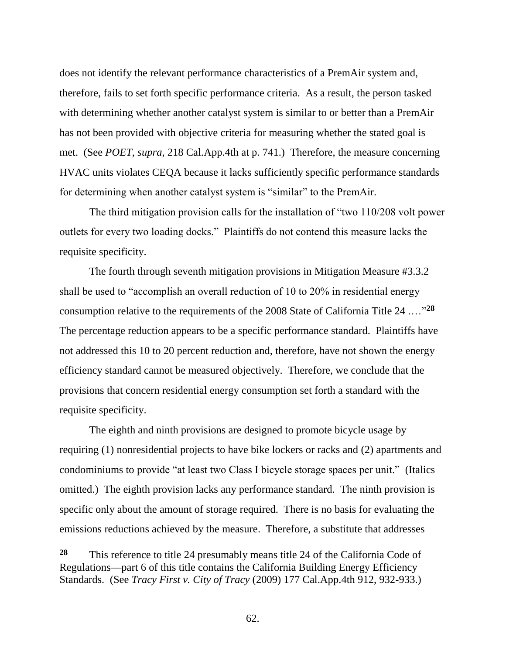does not identify the relevant performance characteristics of a PremAir system and, therefore, fails to set forth specific performance criteria. As a result, the person tasked with determining whether another catalyst system is similar to or better than a PremAir has not been provided with objective criteria for measuring whether the stated goal is met. (See *POET*, *supra*, 218 Cal.App.4th at p. 741.) Therefore, the measure concerning HVAC units violates CEQA because it lacks sufficiently specific performance standards for determining when another catalyst system is "similar" to the PremAir.

The third mitigation provision calls for the installation of "two 110/208 volt power outlets for every two loading docks." Plaintiffs do not contend this measure lacks the requisite specificity.

The fourth through seventh mitigation provisions in Mitigation Measure #3.3.2 shall be used to "accomplish an overall reduction of 10 to 20% in residential energy consumption relative to the requirements of the 2008 State of California Title 24 .…"**<sup>28</sup>** The percentage reduction appears to be a specific performance standard. Plaintiffs have not addressed this 10 to 20 percent reduction and, therefore, have not shown the energy efficiency standard cannot be measured objectively. Therefore, we conclude that the provisions that concern residential energy consumption set forth a standard with the requisite specificity.

The eighth and ninth provisions are designed to promote bicycle usage by requiring (1) nonresidential projects to have bike lockers or racks and (2) apartments and condominiums to provide "at least two Class I bicycle storage spaces per unit." (Italics omitted.) The eighth provision lacks any performance standard. The ninth provision is specific only about the amount of storage required. There is no basis for evaluating the emissions reductions achieved by the measure. Therefore, a substitute that addresses

**<sup>28</sup>** This reference to title 24 presumably means title 24 of the California Code of Regulations—part 6 of this title contains the California Building Energy Efficiency Standards. (See *Tracy First v. City of Tracy* (2009) 177 Cal.App.4th 912, 932-933.)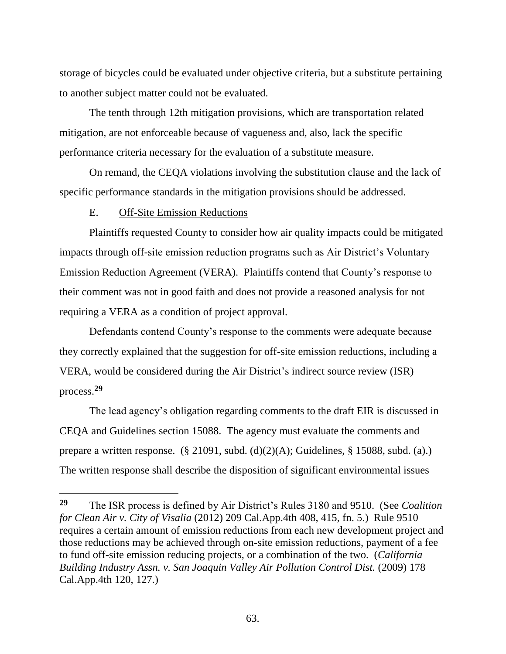storage of bicycles could be evaluated under objective criteria, but a substitute pertaining to another subject matter could not be evaluated.

The tenth through 12th mitigation provisions, which are transportation related mitigation, are not enforceable because of vagueness and, also, lack the specific performance criteria necessary for the evaluation of a substitute measure.

On remand, the CEQA violations involving the substitution clause and the lack of specific performance standards in the mitigation provisions should be addressed.

# E. Off-Site Emission Reductions

 $\overline{a}$ 

Plaintiffs requested County to consider how air quality impacts could be mitigated impacts through off-site emission reduction programs such as Air District's Voluntary Emission Reduction Agreement (VERA). Plaintiffs contend that County's response to their comment was not in good faith and does not provide a reasoned analysis for not requiring a VERA as a condition of project approval.

Defendants contend County's response to the comments were adequate because they correctly explained that the suggestion for off-site emission reductions, including a VERA, would be considered during the Air District's indirect source review (ISR) process.**<sup>29</sup>**

The lead agency's obligation regarding comments to the draft EIR is discussed in CEQA and Guidelines section 15088. The agency must evaluate the comments and prepare a written response. (§ 21091, subd. (d)(2)(A); Guidelines, § 15088, subd. (a).) The written response shall describe the disposition of significant environmental issues

**<sup>29</sup>** The ISR process is defined by Air District's Rules 3180 and 9510. (See *Coalition for Clean Air v. City of Visalia* (2012) 209 Cal.App.4th 408, 415, fn. 5.) Rule 9510 requires a certain amount of emission reductions from each new development project and those reductions may be achieved through on-site emission reductions, payment of a fee to fund off-site emission reducing projects, or a combination of the two. (*California Building Industry Assn. v. San Joaquin Valley Air Pollution Control Dist.* (2009) 178 Cal.App.4th 120, 127.)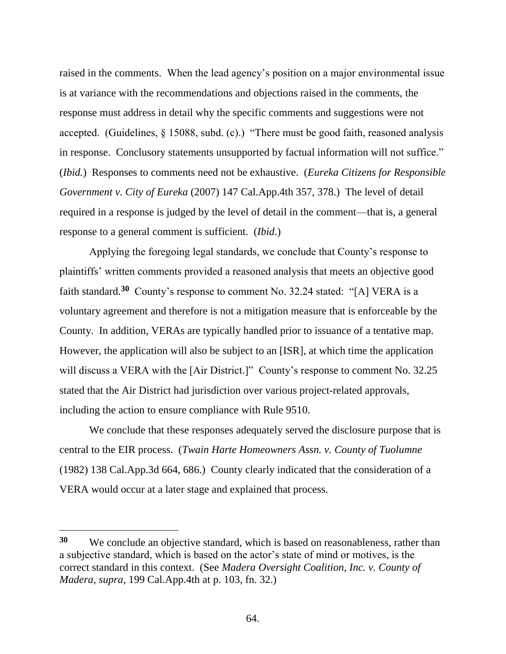raised in the comments. When the lead agency's position on a major environmental issue is at variance with the recommendations and objections raised in the comments, the response must address in detail why the specific comments and suggestions were not accepted. (Guidelines, § 15088, subd. (c).) "There must be good faith, reasoned analysis in response. Conclusory statements unsupported by factual information will not suffice." (*Ibid.*) Responses to comments need not be exhaustive. (*Eureka Citizens for Responsible Government v. City of Eureka* (2007) 147 Cal.App.4th 357, 378.) The level of detail required in a response is judged by the level of detail in the comment—that is, a general response to a general comment is sufficient. (*Ibid*.)

Applying the foregoing legal standards, we conclude that County's response to plaintiffs' written comments provided a reasoned analysis that meets an objective good faith standard.**<sup>30</sup>** County's response to comment No. 32.24 stated: "[A] VERA is a voluntary agreement and therefore is not a mitigation measure that is enforceable by the County. In addition, VERAs are typically handled prior to issuance of a tentative map. However, the application will also be subject to an [ISR], at which time the application will discuss a VERA with the [Air District.]" County's response to comment No. 32.25 stated that the Air District had jurisdiction over various project-related approvals, including the action to ensure compliance with Rule 9510.

We conclude that these responses adequately served the disclosure purpose that is central to the EIR process. (*Twain Harte Homeowners Assn. v. County of Tuolumne* (1982) 138 Cal.App.3d 664, 686.) County clearly indicated that the consideration of a VERA would occur at a later stage and explained that process.

**<sup>30</sup>** We conclude an objective standard, which is based on reasonableness, rather than a subjective standard, which is based on the actor's state of mind or motives, is the correct standard in this context. (See *Madera Oversight Coalition, Inc. v. County of Madera*, *supra*, 199 Cal.App.4th at p. 103, fn. 32.)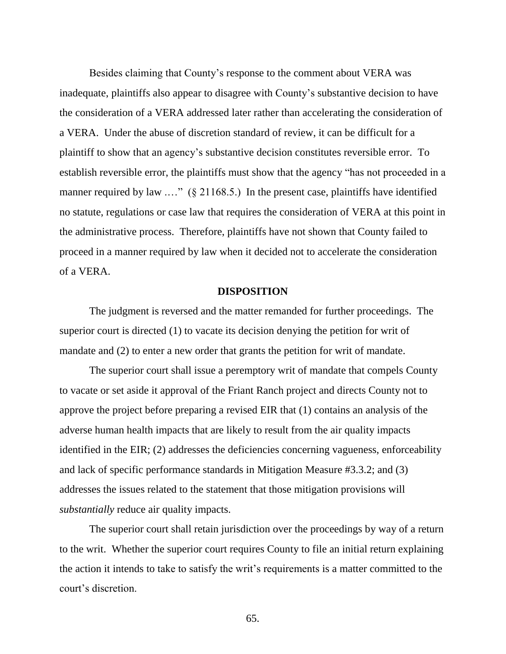Besides claiming that County's response to the comment about VERA was inadequate, plaintiffs also appear to disagree with County's substantive decision to have the consideration of a VERA addressed later rather than accelerating the consideration of a VERA. Under the abuse of discretion standard of review, it can be difficult for a plaintiff to show that an agency's substantive decision constitutes reversible error. To establish reversible error, the plaintiffs must show that the agency "has not proceeded in a manner required by law ...." (§ 21168.5.) In the present case, plaintiffs have identified no statute, regulations or case law that requires the consideration of VERA at this point in the administrative process. Therefore, plaintiffs have not shown that County failed to proceed in a manner required by law when it decided not to accelerate the consideration of a VERA.

#### **DISPOSITION**

The judgment is reversed and the matter remanded for further proceedings. The superior court is directed (1) to vacate its decision denying the petition for writ of mandate and (2) to enter a new order that grants the petition for writ of mandate.

The superior court shall issue a peremptory writ of mandate that compels County to vacate or set aside it approval of the Friant Ranch project and directs County not to approve the project before preparing a revised EIR that (1) contains an analysis of the adverse human health impacts that are likely to result from the air quality impacts identified in the EIR; (2) addresses the deficiencies concerning vagueness, enforceability and lack of specific performance standards in Mitigation Measure #3.3.2; and (3) addresses the issues related to the statement that those mitigation provisions will *substantially* reduce air quality impacts.

The superior court shall retain jurisdiction over the proceedings by way of a return to the writ. Whether the superior court requires County to file an initial return explaining the action it intends to take to satisfy the writ's requirements is a matter committed to the court's discretion.